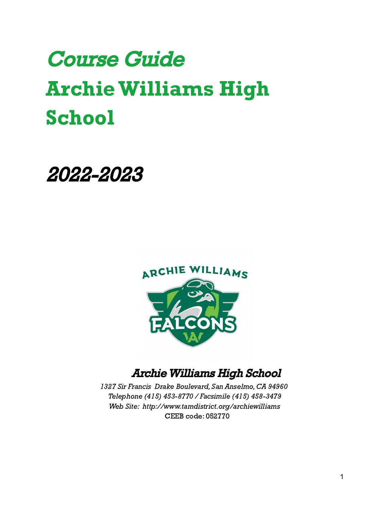# Course Guide ArchieWilliams High School

# 2022-2023



# ArchieWilliams High School

1327 Sir Francis Drake Boulevard, San Anselmo, CA 94960 Telephone (415) 453-8770 / Facsimile (415) 458-3479 Web Site: http://www.tamdistrict.org/archiewilliams CEEB code: 052770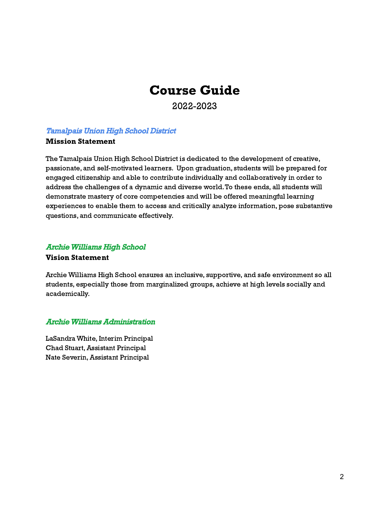# Course Guide

2022-2023

# Tamalpais Union High School District

# Mission Statement

The Tamalpais Union High School District is dedicated to the development of creative, passionate, and self-motivated learners. Upon graduation, students will be prepared for engaged citizenship and able to contribute individually and collaboratively in order to address the challenges of a dynamic and diverse world.To these ends, all students will demonstrate mastery of core competencies and will be offered meaningful learning experiences to enable them to access and critically analyze information, pose substantive questions, and communicate effectively.

# ArchieWilliams High School

# Vision Statement

Archie Williams High School ensures an inclusive, supportive, and safe environment so all students, especially those from marginalized groups, achieve at high levels socially and academically.

# ArchieWilliams Administration

LaSandra White, Interim Principal Chad Stuart, Assistant Principal Nate Severin,Assistant Principal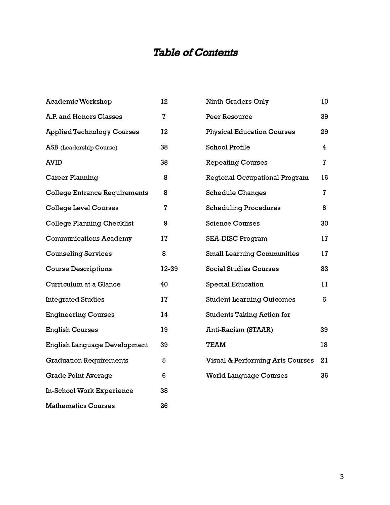# Table of Contents

| Academic Workshop                    | 12             |  |
|--------------------------------------|----------------|--|
| A.P. and Honors Classes              | $\overline{z}$ |  |
| <b>Applied Technology Courses</b>    | 12             |  |
| ASB (Leadership Course)              | 38             |  |
| AVID                                 | 38             |  |
| <b>Career Planning</b>               | 8              |  |
| <b>College Entrance Requirements</b> | 8              |  |
| <b>College Level Courses</b>         | $\overline{7}$ |  |
| <b>College Planning Checklist</b>    | 9              |  |
| <b>Communications Academy</b>        | 17             |  |
| <b>Counseling Services</b>           | 8              |  |
| <b>Course Descriptions</b>           | 12-39          |  |
| Curriculum at a Glance               | 40             |  |
| <b>Integrated Studies</b>            | 17             |  |
| <b>Engineering Courses</b>           | 14             |  |
| <b>English Courses</b>               | 19             |  |
| English Language Development         | 39             |  |
| <b>Graduation Requirements</b>       | 5              |  |
| <b>Grade Point Average</b>           | 6              |  |
| In-School Work Experience            | 38             |  |
| <b>Mathematics Courses</b>           | 26             |  |

| <b>Ninth Graders Only</b>                   | 10             |
|---------------------------------------------|----------------|
| <b>Peer Resource</b>                        | 39             |
| <b>Physical Education Courses</b>           | 29             |
| <b>School Profile</b>                       | 4              |
| <b>Repeating Courses</b>                    | 7              |
| Regional Occupational Program               | 16             |
| <b>Schedule Changes</b>                     | $\overline{7}$ |
| <b>Scheduling Procedures</b>                | 6              |
| <b>Science Courses</b>                      | 30             |
| <b>SEA-DISC Program</b>                     | 17             |
| <b>Small Learning Communities</b>           | 17             |
| <b>Social Studies Courses</b>               | 33             |
| <b>Special Education</b>                    | 11             |
| <b>Student Learning Outcomes</b>            | 5              |
| <b>Students Taking Action for</b>           |                |
| Anti-Racism (STAAR)                         | 39             |
| TEAM                                        | 18             |
| <b>Visual &amp; Performing Arts Courses</b> | 21             |
| <b>World Language Courses</b>               | 36             |
|                                             |                |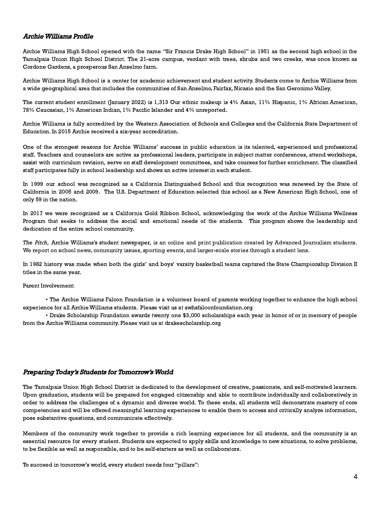# ArchieWilliams Profile

Archie Williams High School opened with the name "Sir Francis Drake High School" in 1951 as the second high school in the Tamalpais Union High School District. The 21-acre campus, verdant with trees, shrubs and two creeks, was once known as Cordone Gardens, a prosperous San Anselmo farm.

Archie Williams High School is a center for academic achievement and student activity. Students come to Archie Williams from a wide geographical area that includes the communities of San Anselmo, Fairfax, Nicasio and the San Geronimo Valley.

The current student enrollment (January 2022) is 1,313 Our ethnic makeup is 4% Asian, 11% Hispanic, 1% African American, 78% Caucasian, 1% American Indian, 1% Pacific Islander and 4% unreported.

Archie Williams is fully accredited by the Western Association of Schools and Colleges and the California State Department of Education. In 2015 Archie received a six-year accreditation.

One of the strongest reasons for Archie Williams' success in public education is its talented, experienced and professional staff. Teachers and counselors are active as professional leaders, participate in subject matter conferences, attend workshops, assist with curriculum revision, serve on staff development committees, and take courses for further enrichment. The classified staff participates fully in school leadership and shows an active interest in each student.

In 1999 our school was recognized as a California Distinguished School and this recognition was renewed by the State of California in 2005 and 2009. The U.S. Department of Education selected this school as a New American High School, one of only 59 in the nation.

In 2017 we were recognized as a California Gold Ribbon School, acknowledging the work of the Archie Williams Wellness Program that seeks to address the social and emotional needs of the students. This program shows the leadership and dedication of the entire school community.

The Pitch, Archie Williams's student newspaper, is an online and print publication created by Advanced Journalism students. We report on school news, community issues, sporting events, and larger-scale stories through a student lens.

In 1982 history was made when both the girls' and boys' varsity basketball teams captured the State Championship Division II titles in the same year.

Parent Involvement:

• The Archie Williams Falcon Foundation is a volunteer board of parents working together to enhance the high school experience for all Archie Williams students. Please visit us at awhsfalconfoundation.org

• Drake Scholarship Foundation awards twenty one \$3,000 scholarships each year in honor of or in memory of people from the Archie Williams community. Please visit us at drakescholarship.org

# Preparing Today's Students for Tomorrow's World

The Tamalpais Union High School District is dedicated to the development of creative, passionate, and self-motivated learners. Upon graduation, students will be prepared for engaged citizenship and able to contribute individually and collaboratively in order to address the challenges of a dynamic and diverse world. To these ends, all students will demonstrate mastery of core competencies and will be offered meaningful learning experiences to enable them to access and critically analyze information, pose substantive questions, and communicate effectively.

Members of the community work together to provide a rich learning experience for all students, and the community is an essential resource for every student. Students are expected to apply skills and knowledge to new situations, to solve problems, to be flexible as well as responsible, and to be self-starters as well as collaborators.

To succeed in tomorrow's world, every student needs four "pillars":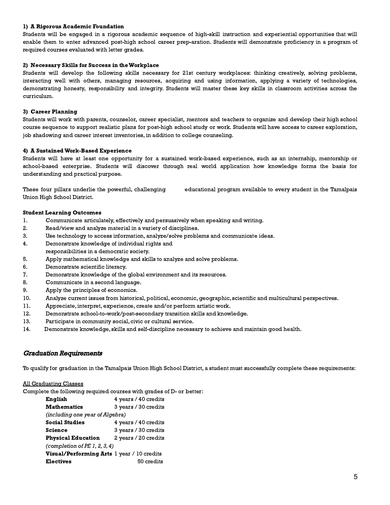#### 1) A Rigorous Academic Foundation

Students will be engaged in a rigorous academic sequence of high-skill instruction and experiential opportunities that will enable them to enter advanced post-high school career prep-aration. Students will demonstrate proficiency in a program of required courses evaluated with letter grades.

#### 2) Necessary Skills for Success in theWorkplace

Students will develop the following skills necessary for 21st century workplaces: thinking creatively, solving problems, interacting well with others, managing resources, acquiring and using information, applying a variety of technologies, demonstrating honesty, responsibility and integrity. Students will master these key skills in classroom activities across the curriculum.

#### 3) Career Planning

Students will work with parents, counselor, career specialist, mentors and teachers to organize and develop their high school course sequence to support realistic plans for post-high school study or work. Students will have access to career exploration, job shadowing and career interest inventories, in addition to college counseling.

#### 4) A SustainedWork-Based Experience

Students will have at least one opportunity for a sustained work-based experience, such as an internship, mentorship or school-based enterprise. Students will discover through real world application how knowledge forms the basis for understanding and practical purpose.

These four pillars underlie the powerful, challenging educational program available to every student in the Tamalpais Union High School District.

#### Student Learning Outcomes

- 1. Communicate articulately, effectively and persuasively when speaking and writing.
- 2. Read/view and analyze material in a variety of disciplines.
- 3. Use technology to access information, analyze/solve problems and communicate ideas.
- 4. Demonstrate knowledge of individual rights and
- responsibilities in a democratic society.
- 5. Apply mathematical knowledge and skills to analyze and solve problems.
- 6. Demonstrate scientific literacy.
- 7. Demonstrate knowledge of the global environment and its resources.
- 8. Communicate in a second language.
- 9. Apply the principles of economics.
- 10. Analyze current issues from historical, political, economic, geographic, scientific and multicultural perspectives.
- 11. Appreciate, interpret, experience, create and/or perform artistic work.
- 12. Demonstrate school-to-work/post-secondary transition skills and knowledge.
- 13. Participate in community social, civic or cultural service.
- 14. Demonstrate knowledge, skills and self-discipline necessary to achieve and maintain good health.

# Graduation Requirements

To qualify for graduation in the Tamalpais Union High School District, a student must successfully complete these requirements:

#### All Graduating Classes

Complete the following required courses with grades of D- or better:

| English                                    | 4 years / 40 credits |  |
|--------------------------------------------|----------------------|--|
| <b>Mathematics</b>                         | 3 years / 30 credits |  |
| <i>(including one year of Algebra)</i>     |                      |  |
| <b>Social Studies</b>                      | 4 years / 40 credits |  |
| <b>Science</b>                             | 3 years / 30 credits |  |
| <b>Physical Education</b>                  | 2 years / 20 credits |  |
| (completion of PE 1, 2, 3, 4)              |                      |  |
| Visual/Performing Arts 1 year / 10 credits |                      |  |
| <b>Electives</b>                           | 50 credits           |  |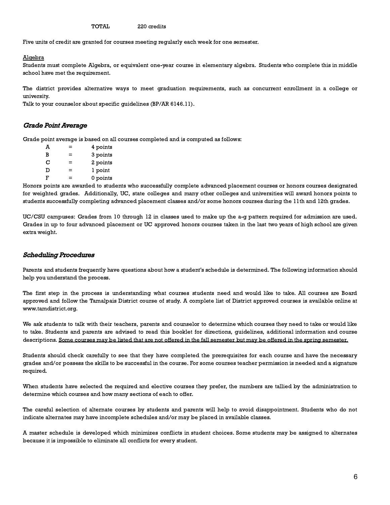TOTAL 220 credits

Five units of credit are granted for courses meeting regularly each week for one semester.

#### Algebra

Students must complete Algebra, or equivalent one-year course in elementary algebra. Students who complete this in middle school have met the requirement.

The district provides alternative ways to meet graduation requirements, such as concurrent enrollment in a college or university.

Talk to your counselor about specific guidelines (BP/AR 6146.11).

#### Grade Point Average

Grade point average is based on all courses completed and is computed as follows:

| A | =   | 4 points |
|---|-----|----------|
| В | ⋍   | 3 points |
| С | =   | 2 points |
| D | =   | 1 point  |
| F | $=$ | 0 points |

Honors points are awarded to students who successfully complete advanced placement courses or honors courses designated for weighted grades. Additionally, UC, state colleges and many other colleges and universities will award honors points to students successfully completing advanced placement classes and/or some honors courses during the 11th and 12th grades.

UC/CSU campuses: Grades from 10 through 12 in classes used to make up the a-g pattern required for admission are used. Grades in up to four advanced placement or UC approved honors courses taken in the last two years of high school are given extra weight.

#### Scheduling Procedures

Parents and students frequently have questions about how a student's schedule is determined. The following information should help you understand the process.

The first step in the process is understanding what courses students need and would like to take. All courses are Board approved and follow the Tamalpais District course of study. A complete list of District approved courses is available online at www.tamdistrict.org.

We ask students to talk with their teachers, parents and counselor to determine which courses they need to take or would like to take. Students and parents are advised to read this booklet for directions, guidelines, additional information and course descriptions. Some courses may be listed that are not offered in the fall semester but may be offered in the spring semester.

Students should check carefully to see that they have completed the prerequisites for each course and have the necessary grades and/or possess the skills to be successful in the course. For some courses teacher permission is needed and a signature required.

When students have selected the required and elective courses they prefer, the numbers are tallied by the administration to determine which courses and how many sections of each to offer.

The careful selection of alternate courses by students and parents will help to avoid disappointment. Students who do not indicate alternates may have incomplete schedules and/or may be placed in available classes.

A master schedule is developed which minimizes conflicts in student choices. Some students may be assigned to alternates because it is impossible to eliminate all conflicts for every student.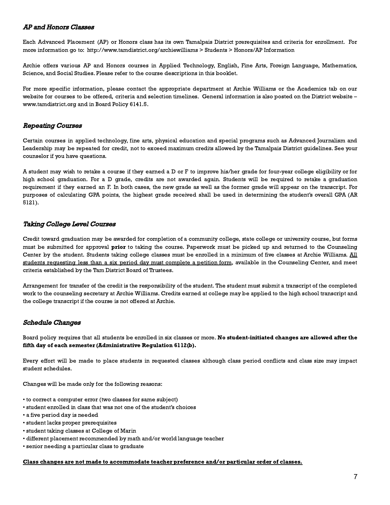# AP and Honors Classes

Each Advanced Placement (AP) or Honors class has its own Tamalpais District prerequisites and criteria for enrollment. For more information go to: http://www.tamdistrict.org/archiewilliams > Students > Honors/AP Information

Archie offers various AP and Honors courses in Applied Technology, English, Fine Arts, Foreign Language, Mathematics, Science, and Social Studies. Please refer to the course descriptions in this booklet.

For more specific information, please contact the appropriate department at Archie Williams or the Academics tab on our website for courses to be offered, criteria and selection timelines. General information is also posted on the District website – www.tamdistrict.org and in Board Policy 6141.5.

# Repeating Courses

Certain courses in applied technology, fine arts, physical education and special programs such as Advanced Journalism and Leadership may be repeated for credit, not to exceed maximum credits allowed by the Tamalpais District guidelines. See your counselor if you have questions.

A student may wish to retake a course if they earned a D or F to improve his/her grade for four-year college eligibility or for high school graduation. For a D grade, credits are not awarded again. Students will be required to retake a graduation requirement if they earned an F. In both cases, the new grade as well as the former grade will appear on the transcript. For purposes of calculating GPA points, the highest grade received shall be used in determining the student's overall GPA (AR 5121).

# Taking College Level Courses

Credit toward graduation may be awarded for completion of a community college, state college or university course, but forms must be submitted for approval **prior** to taking the course. Paperwork must be picked up and returned to the Counseling Center by the student. Students taking college classes must be enrolled in a minimum of five classes at Archie Williams. All students requesting less than a six period day must complete a petition form, available in the Counseling Center, and meet criteria established by the Tam District Board of Trustees.

Arrangement for transfer of the credit is the responsibility of the student. The student must submit a transcript of the completed work to the counseling secretary at Archie Williams. Credits earned at college may be applied to the high school transcript and the college transcript if the course is not offered at Archie.

# Schedule Changes

# Board policy requires that all students be enrolled in six classes or more. No student-initiated changes are allowed after the fifth day of each semester (Administrative Regulation 6112(b).

Every effort will be made to place students in requested classes although class period conflicts and class size may impact student schedules.

Changes will be made only for the following reasons:

- to correct a computer error (two classes for same subject)
- student enrolled in class that was not one of the student's choices
- a five period day is needed
- student lacks proper prerequisites
- student taking classes at College of Marin
- different placement recommended by math and/or world language teacher
- senior needing a particular class to graduate

#### Class changes are not made to accommodate teacher preference and/or particular order of classes.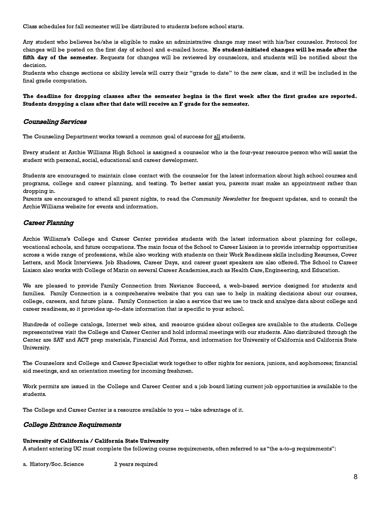Class schedules for fall semester will be distributed to students before school starts.

Any student who believes he/she is eligible to make an administrative change may meet with his/her counselor. Protocol for changes will be posted on the first day of school and e-mailed home. No student-initiated changes will be made after the fifth day of the semester. Requests for changes will be reviewed by counselors, and students will be notified about the decision.

Students who change sections or ability levels will carry their "grade to date" to the new class, and it will be included in the final grade computation.

#### The deadline for dropping classes after the semester begins is the first week after the first grades are reported. Students dropping a class after that date will receive an F grade for the semester.

# Counseling Services

The Counseling Department works toward a common goal of success for all students.

Every student at Archie Williams High School is assigned a counselor who is the four-year resource person who will assist the student with personal, social, educational and career development.

Students are encouraged to maintain close contact with the counselor for the latest information about high school courses and programs, college and career planning, and testing. To better assist you, parents must make an appointment rather than dropping in.

Parents are encouraged to attend all parent nights, to read the Community Newsletter for frequent updates, and to consult the Archie Williams website for events and information.

# Career Planning

Archie Williams's College and Career Center provides students with the latest information about planning for college, vocational schools, and future occupations. The main focus of the School to Career Liaison is to provide internship opportunities across a wide range of professions, while also working with students on their Work Readiness skills including Resumes, Cover Letters, and Mock Interviews. Job Shadows, Career Days, and career guest speakers are also offered. The School to Career Liaison also works with College of Marin on several Career Academies, such as Health Care, Engineering, and Education.

We are pleased to provide Family Connection from Naviance Succeed, a web-based service designed for students and families. Family Connection is a comprehensive website that you can use to help in making decisions about our courses, college, careers, and future plans. Family Connection is also a service that we use to track and analyze data about college and career readiness, so it provides up-to-date information that is specific to your school.

Hundreds of college catalogs, Internet web sites, and resource guides about colleges are available to the students. College representatives visit the College and Career Center and hold informal meetings with our students. Also distributed through the Center are SAT and ACT prep materials, Financial Aid Forms, and information for University of California and California State University.

The Counselors and College and Career Specialist work together to offer nights for seniors, juniors, and sophomores; financial aid meetings, and an orientation meeting for incoming freshmen.

Work permits are issued in the College and Career Center and a job board listing current job opportunities is available to the students.

The College and Career Center is a resource available to you -- take advantage of it.

# College Entrance Requirements

#### University of California / California State University

A student entering UC must complete the following course requirements, often referred to as "the a-to-g requirements":

a. History/Soc. Science 2 years required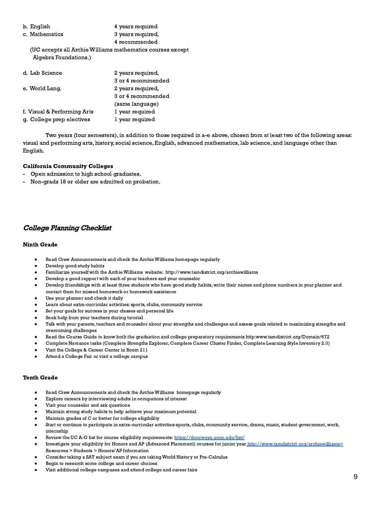| b. English                                                                          | 4 years required   |
|-------------------------------------------------------------------------------------|--------------------|
| c. Mathematics                                                                      | 3 years required,  |
|                                                                                     | 4 recommended      |
| (UC accepts all Archie Williams mathematics courses except<br>Algebra Foundations.) |                    |
| d. Lab Science                                                                      | 2 years required,  |
|                                                                                     | 3 or 4 recommended |
| e. World Lang.                                                                      | 2 years required,  |
|                                                                                     | 3 or 4 recommended |
|                                                                                     | (same language)    |

Two years (four semesters), in addition to those required in a-e above, chosen from at least two of the following areas: visual and performing arts, history, social science, English, advanced mathematics, lab science, and language other than English.

#### California Community Colleges

- Open admission to high school graduates.
- Non-grads 18 or older are admitted on probation.

f. Visual & Performing Arts 1 year required g. College prep electives 1 year required

# College Planning Checklist

#### Ninth Grade

- Read Crew Announcements and check the Archie Williams homepage regularly
- Develop good study habits
- Familiarize yourself with the Archie Williams website: http://www.tamdistrict.org/archiewilliams
- Develop a good rapport with each of your teachers and your counselor
- Develop friendships with at least three students who have good study habits, write their names and phone numbers in your planner and contact them for missed homework or homework assistance
- Use your planner and check it daily
- Learn about extra-curricular activities: sports, clubs, community service
- Set your goals for success in your classes and personal life
- Seek help from your teachers during tutorial
- Talk with your parents, teachers and counselor about your strengths and challenges and assess goals related to maximizing strengths and overcoming challenges
- Read the Course Guide to know both the graduation and college preparatory requirements http:www.tamdistrict.org/Domain/672
- Complete Naviance tasks (Complete Strengths Explorer, Complete Career Cluster Finder, Complete Learning Style Inventory 2.0)
- Visit the College & Career Center in Room 211
- Attend a College Fair or visit a college campus

#### Tenth Grade

- Read Crew Announcements and check the Archie Williams homepage regularly
- Explore careers by interviewing adults in occupations of interest
- Visit your counselor and ask questions
- Maintain strong study habits to help achieve your maximum potential
- Maintain grades of C or better for college eligibility
- Start or continue to participate in extra-curricular activities-sports, clubs, community service, drama, music, student government, work, internship
- Review the UC A-G list for course eligibility requirements: <https://doorways.ucop.edu/list/>
- Investigate your eligibility for Honors and AP (Advanced Placement) courses for junior year [http://www.tamdistrict.org/archiewilliams>](http://www.tamdistrict.org/archiewilliams) Resources > Students > Honors/AP Information
- Consider taking a SAT subject exam if you are taking World History or Pre-Calculus
- Begin to research some college and career choices
- Visit additional college campuses and attend college and career fairs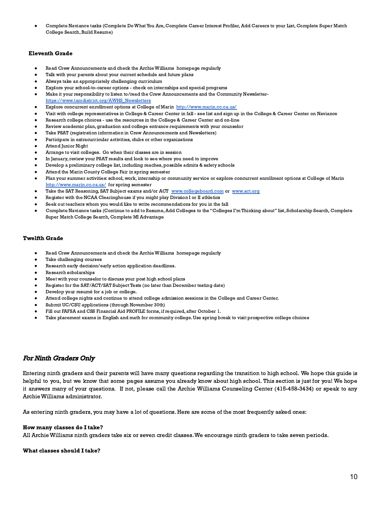Complete Naviance tasks (Complete Do What You Are, Complete Career Interest Profiler, Add Careers to your List, Complete Super Match College Search, Build Resume)

#### Eleventh Grade

- Read Crew Announcements and check the Archie Williams homepage regularly
- Talk with your parents about your current schedule and future plans
- Always take an appropriately challenging curriculum
- Explore your school-to-career options check on internships and special programs
- Make it your responsibility to listen to/read the Crew Announcements and the Community Newsletter[https://www.tamdistrict.org/AWHS\\_Newsletters](https://www.tamdistrict.org/AWHS_Newsletters)
- Explore concurrent enrollment options at College of Marin <http://www.marin.cc.ca.us/>
- Visit with college representatives in College & Career Center in fall see list and sign up in the College & Career Center on Naviance
- Research college choices use the resources in the College & Career Center and on-line
- Review academic plan, graduation and college entrance requirements with your counselor
- Take PSAT (registration information in Crew Announcements and Newsletters)
- Participate in extracurricular activities, clubs or other organizations
- **Attend Junior Night**
- Arrange to visit colleges. Go when their classes are in session
- In January, review your PSAT results and look to see where you need to improve
- Develop a preliminary college list, including reaches, possible admits & safety schools
- Attend the Marin County College Fair in spring semester
- Plan your summer activities: school, work, internship or community service or explore concurrent enrollment options at College of Marin <http://www.marin.cc.ca.us/> for spring semester
- Take the SAT Reasoning, SAT Subject exams and/or ACT [www.collegeboard.com](http://www.collegeboard.com/) or [www.act.org](http://www.act.org/)
- Register with the NCAA Clearinghouse if you might play Division I or II athletics
- Seek out teachers whom you would like to write recommendations for you in the fall
- Complete Naviance tasks (Continue to add to Resume, Add Colleges to the "Colleges I'm Thinking about" list, Scholarship Search, Complete Super Match College Search, Complete MI Advantage

#### Twelfth Grade

- Read Crew Announcements and check the Archie Williams homepage regularly
- Take challenging courses
- Research early decision/early action application deadlines.
- Research scholarships
- Meet with your counselor to discuss your post high school plans
- Register for the SAT/ACT/SAT Subject Tests (no later than December testing date)
- Develop your resumé for a job or college.
- Attend college nights and continue to attend college admission sessions in the College and Career Center.
- Submit UC/CSU applications (through November 30th)
- Fill out FAFSA and CSS Financial Aid PROFILE forms, if required, after October 1.
- Take placement exams in English and math for community college. Use spring break to visit prospective college choices

# For Ninth Graders Only

Entering ninth graders and their parents will have many questions regarding the transition to high school. We hope this guide is helpful to you, but we know that some pages assume you already know about high school. This section is just for you! We hope it answers many of your questions. If not, please call the Archie Williams Counseling Center (415-458-3434) or speak to any Archie Williams administrator.

As entering ninth graders, you may have a lot of questions. Here are some of the most frequently asked ones:

#### How many classes do I take?

All Archie Williams ninth graders take six or seven credit classes.We encourage ninth graders to take seven periods.

#### What classes should I take?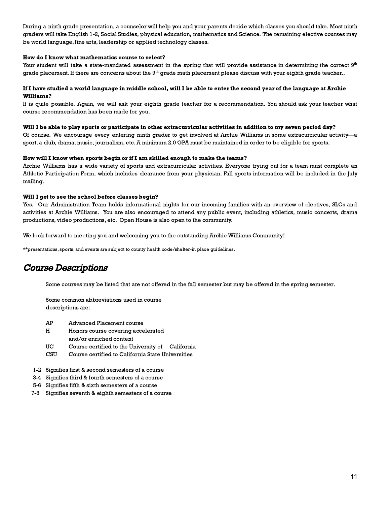During a ninth grade presentation, a counselor will help you and your parents decide which classes you should take. Most ninth graders will take English 1-2, Social Studies, physical education, mathematics and Science. The remaining elective courses may be world language, fine arts, leadership or applied technology classes.

#### How do I know what mathematics course to select?

Your student will take a state-mandated assessment in the spring that will provide assistance in determining the correct  $9^{\rm th}$ grade placement. If there are concerns about the  $9^{\rm th}$  grade math placement please discuss with your eighth grade teacher..

#### If I have studied a world language in middle school, will I be able to enter the second year of the language at Archie Williams?

It is quite possible. Again, we will ask your eighth grade teacher for a recommendation. You should ask your teacher what course recommendation has been made for you.

#### Will I be able to play sports or participate in other extracurricular activities in addition to my seven period day?

Of course. We encourage every entering ninth grader to get involved at Archie Williams in some extracurricular activity—a sport, a club, drama, music, journalism, etc.A minimum 2.0 GPA must be maintained in order to be eligible for sports.

#### How will I know when sports begin or if I am skilled enough to make the teams?

Archie Williams has a wide variety of sports and extracurricular activities. Everyone trying out for a team must complete an Athletic Participation Form, which includes clearance from your physician. Fall sports information will be included in the July mailing.

#### Will I get to see the school before classes begin?

Yes. Our Administration Team holds informational nights for our incoming families with an overview of electives, SLCs and activities at Archie Williams. You are also encouraged to attend any public event, including athletics, music concerts, drama productions, video productions, etc. Open House is also open to the community.

We look forward to meeting you and welcoming you to the outstanding Archie Williams Community!

\*\*presentations, sports, and events are subject to county health code/shelter-in place guidelines.

# Course Descriptions

Some courses may be listed that are not offered in the fall semester but may be offered in the spring semester.

Some common abbreviations used in course descriptions are:

- AP Advanced Placement course
- H Honors course covering accelerated and/or enriched content
- UC Course certified to the University of California
- CSU Course certified to California State Universities
- 1-2 Signifies first & second semesters of a course
- 3-4 Signifies third & fourth semesters of a course
- 5-6 Signifies fifth & sixth semesters of a course
- 7-8 Signifies seventh & eighth semesters of a course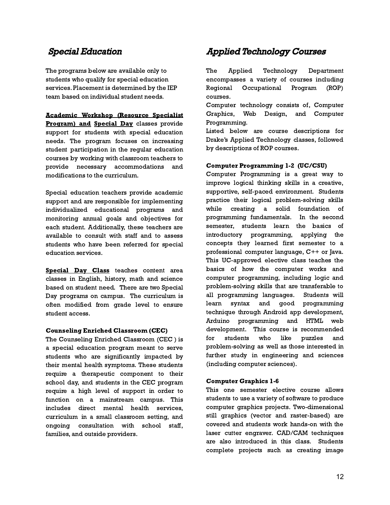# Special Education

The programs below are available only to students who qualify for special education services. Placement is determined by the IEP team based on individual student needs.

Academic Workshop (Resource Specialist Program) and Special Day classes provide support for students with special education needs. The program focuses on increasing student participation in the regular education courses by working with classroom teachers to provide necessary accommodations and modifications to the curriculum.

Special education teachers provide academic support and are responsible for implementing individualized educational programs and monitoring annual goals and objectives for each student. Additionally, these teachers are available to consult with staff and to assess students who have been referred for special education services.

Special Day Class teaches content area classes in English, history, math and science based on student need. There are two Special Day programs on campus. The curriculum is often modified from grade level to ensure student access.

# Counseling Enriched Classroom (CEC)

The Counseling Enriched Classroom (CEC ) is a special education program meant to serve students who are significantly impacted by their mental health symptoms. These students require a therapeutic component to their school day, and students in the CEC program require a high level of support in order to function on a mainstream campus. This includes direct mental health services, curriculum in a small classroom setting, and ongoing consultation with school staff, families, and outside providers.

# Applied Technology Courses

The Applied Technology Department encompasses a variety of courses including Regional Occupational Program (ROP) courses.

Computer technology consists of, Computer Graphics, Web Design, and Computer Programming.

Listed below are course descriptions for Drake's Applied Technology classes, followed by descriptions of ROP courses.

# Computer Programming 1-2 (UC/CSU)

Computer Programming is a great way to improve logical thinking skills in a creative, supportive, self-paced environment. Students practice their logical problem-solving skills while creating a solid foundation of programming fundamentals. In the second semester, students learn the basics of introductory programming, applying the concepts they learned first semester to a professional computer language, C++ or Java. This UC-approved elective class teaches the basics of how the computer works and computer programming, including logic and problem-solving skills that are transferable to all programming languages. Students will learn syntax and good programming technique through Android app development, Arduino programming and HTML web development. This course is recommended for students who like puzzles and problem-solving as well as those interested in further study in engineering and sciences (including computer sciences).

# Computer Graphics 1-6

This one semester elective course allows students to use a variety of software to produce computer graphics projects. Two-dimensional still graphics (vector and raster-based) are covered and students work hands-on with the laser cutter engraver. CAD/CAM techniques are also introduced in this class. Students complete projects such as creating image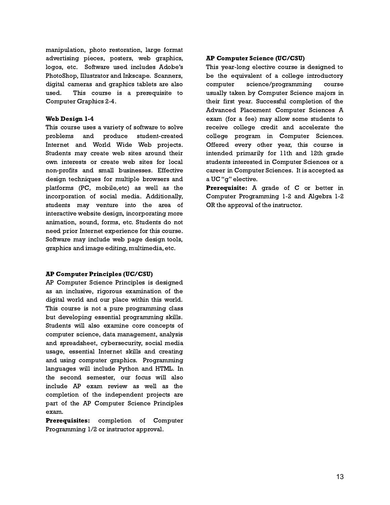manipulation, photo restoration, large format advertising pieces, posters, web graphics, logos, etc. Software used includes Adobe's PhotoShop, Illustrator and Inkscape. Scanners, digital cameras and graphics tablets are also used. This course is a prerequisite to Computer Graphics 2-4.

#### Web Design 1-4

This course uses a variety of software to solve problems and produce student-created Internet and World Wide Web projects. Students may create web sites around their own interests or create web sites for local non-profits and small businesses. Effective design techniques for multiple browsers and platforms (PC, mobile,etc) as well as the incorporation of social media. Additionally, students may venture into the area of interactive website design, incorporating more animation, sound, forms, etc. Students do not need prior Internet experience for this course. Software may include web page design tools, graphics and image editing, multimedia, etc.

# AP Computer Principles (UC/CSU)

AP Computer Science Principles is designed as an inclusive, rigorous examination of the digital world and our place within this world. This course is not a pure programming class but developing essential programming skills. Students will also examine core concepts of computer science, data management, analysis and spreadsheet, cybersecurity, social media usage, essential Internet skills and creating and using computer graphics. Programming languages will include Python and HTML. In the second semester, our focus will also include AP exam review as well as the completion of the independent projects are part of the AP Computer Science Principles exam.

Prerequisites: completion of Computer Programming 1/2 or instructor approval.

# AP Computer Science (UC/CSU)

This year-long elective course is designed to be the equivalent of a college introductory computer science/programming course usually taken by Computer Science majors in their first year. Successful completion of the Advanced Placement Computer Sciences A exam (for a fee) may allow some students to receive college credit and accelerate the college program in Computer Sciences. Offered every other year, this course is intended primarily for 11th and 12th grade students interested in Computer Sciences or a career in Computer Sciences. It is accepted as a UC "g" elective.

Prerequisite: A grade of C or better in Computer Programming 1-2 and Algebra 1-2 OR the approval of the instructor.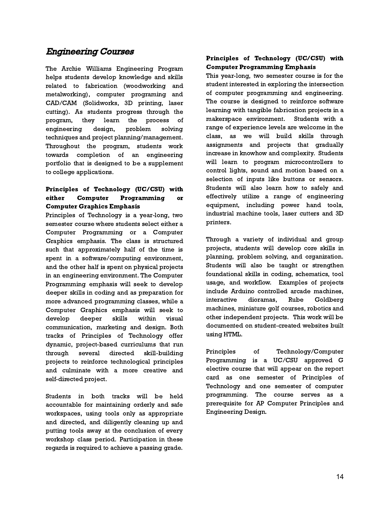# Engineering Courses

The Archie Williams Engineering Program helps students develop knowledge and skills related to fabrication (woodworking and metalworking), computer programing and CAD/CAM (Solidworks, 3D printing, laser cutting). As students progress through the program, they learn the process of engineering design, problem solving techniques and project planning/management. Throughout the program, students work towards completion of an engineering portfolio that is designed to be a supplement to college applications.

# Principles of Technology (UC/CSU) with either Computer Programming or Computer Graphics Emphasis

Principles of Technology is a year-long, two semester course where students select either a Computer Programming or a Computer Graphics emphasis. The class is structured such that approximately half of the time is spent in a software/computing environment, and the other half is spent on physical projects in an engineering environment. The Computer Programming emphasis will seek to develop deeper skills in coding and as preparation for more advanced programming classes, while a Computer Graphics emphasis will seek to develop deeper skills within visual communication, marketing and design. Both tracks of Principles of Technology offer dynamic, project-based curriculums that run through several directed skill-building projects to reinforce technological principles and culminate with a more creative and self-directed project.

Students in both tracks will be held accountable for maintaining orderly and safe workspaces, using tools only as appropriate and directed, and diligently cleaning up and putting tools away at the conclusion of every workshop class period. Participation in these regards is required to achieve a passing grade.

# Principles of Technology (UC/CSU) with Computer Programming Emphasis

This year-long, two semester course is for the student interested in exploring the intersection of computer programming and engineering. The course is designed to reinforce software learning with tangible fabrication projects in a makerspace environment. Students with a range of experience levels are welcome in the class, as we will build skills through assignments and projects that gradually increase in knowhow and complexity. Students will learn to program microcontrollers to control lights, sound and motion based on a selection of inputs like buttons or sensors. Students will also learn how to safely and effectively utilize a range of engineering equipment, including power hand tools, industrial machine tools, laser cutters and 3D printers.

Through a variety of individual and group projects, students will develop core skills in planning, problem solving, and organization. Students will also be taught or strengthen foundational skills in coding, schematics, tool usage, and workflow. Examples of projects include Arduino controlled arcade machines, interactive dioramas, Rube Goldberg machines, miniature golf courses, robotics and other independent projects. This work will be documented on student-created websites built using HTML.

Principles of Technology/Computer Programming is a UC/CSU approved G elective course that will appear on the report card as one semester of Principles of Technology and one semester of computer programming. The course serves as a prerequisite for AP Computer Principles and Engineering Design.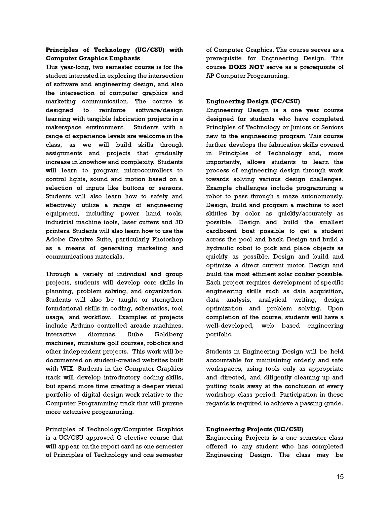# Principles of Technology (UC/CSU) with Computer Graphics Emphasis

This year-long, two semester course is for the student interested in exploring the intersection of software and engineering design, and also the intersection of computer graphics and marketing communication. The course is designed to reinforce software/design learning with tangible fabrication projects in a makerspace environment. Students with a range of experience levels are welcome in the class, as we will build skills through assignments and projects that gradually increase in knowhow and complexity. Students will learn to program microcontrollers to control lights, sound and motion based on a selection of inputs like buttons or sensors. Students will also learn how to safely and effectively utilize a range of engineering equipment, including power hand tools, industrial machine tools, laser cutters and 3D printers. Students will also learn how to use the Adobe Creative Suite, particularly Photoshop as a means of generating marketing and communications materials.

Through a variety of individual and group projects, students will develop core skills in planning, problem solving, and organization. Students will also be taught or strengthen foundational skills in coding, schematics, tool usage, and workflow. Examples of projects include Arduino controlled arcade machines, interactive dioramas, Rube Goldberg machines, miniature golf courses, robotics and other independent projects. This work will be documented on student-created websites built with WIX. Students in the Computer Graphics track will develop introductory coding skills, but spend more time creating a deeper visual portfolio of digital design work relative to the Computer Programming track that will pursue more extensive programming.

Principles of Technology/Computer Graphics is a UC/CSU approved G elective course that will appear on the report card as one semester of Principles of Technology and one semester of Computer Graphics. The course serves as a prerequisite for Engineering Design. This course DOES NOT serve as a prerequisite of AP Computer Programming.

# Engineering Design (UC/CSU)

Engineering Design is a one year course designed for students who have completed Principles of Technology or Juniors or Seniors new to the engineering program. This course further develops the fabrication skills covered in Principles of Technology and, more importantly, allows students to learn the process of engineering design through work towards solving various design challenges. Example challenges include programming a robot to pass through a maze autonomously. Design, build and program a machine to sort skittles by color as quickly/accurately as possible. Design and build the smallest cardboard boat possible to get a student across the pool and back. Design and build a hydraulic robot to pick and place objects as quickly as possible. Design and build and optimize a direct current motor. Design and build the most efficient solar cooker possible. Each project requires development of specific engineering skills such as data acquisition, data analysis, analytical writing, design optimization and problem solving. Upon completion of the course, students will have a well-developed, web based engineering portfolio.

Students in Engineering Design will be held accountable for maintaining orderly and safe workspaces, using tools only as appropriate and directed, and diligently cleaning up and putting tools away at the conclusion of every workshop class period. Participation in these regards is required to achieve a passing grade.

# Engineering Projects (UC/CSU)

Engineering Projects is a one semester class offered to any student who has completed Engineering Design. The class may be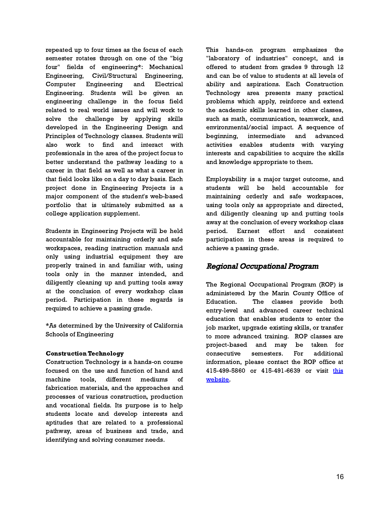repeated up to four times as the focus of each semester rotates through on one of the "big four" fields of engineering\*: Mechanical Engineering, Civil/Structural Engineering, Computer Engineering and Electrical Engineering. Students will be given an engineering challenge in the focus field related to real world issues and will work to solve the challenge by applying skills developed in the Engineering Design and Principles of Technology classes. Students will also work to find and interact with professionals in the area of the project focus to better understand the pathway leading to a career in that field as well as what a career in that field looks like on a day to day basis. Each project done in Engineering Projects is a major component of the student's web-based portfolio that is ultimately submitted as a college application supplement.

Students in Engineering Projects will be held accountable for maintaining orderly and safe workspaces, reading instruction manuals and only using industrial equipment they are properly trained in and familiar with, using tools only in the manner intended, and diligently cleaning up and putting tools away at the conclusion of every workshop class period. Participation in these regards is required to achieve a passing grade.

\*As determined by the University of California Schools of Engineering

# Construction Technology

Construction Technology is a hands-on course focused on the use and function of hand and machine tools, different mediums of fabrication materials, and the approaches and processes of various construction, production and vocational fields. Its purpose is to help students locate and develop interests and aptitudes that are related to a professional pathway, areas of business and trade, and identifying and solving consumer needs.

This hands-on program emphasizes the "laboratory of industries" concept, and is offered to student from grades 9 through 12 and can be of value to students at all levels of ability and aspirations. Each Construction Technology area presents many practical problems which apply, reinforce and extend the academic skills learned in other classes, such as math, communication, teamwork, and environmental/social impact. A sequence of beginning, intermediate and advanced activities enables students with varying interests and capabilities to acquire the skills and knowledge appropriate to them.

Employability is a major target outcome, and students will be held accountable for maintaining orderly and safe workspaces, using tools only as appropriate and directed, and diligently cleaning up and putting tools away at the conclusion of every workshop class period. Earnest effort and consistent participation in these areas is required to achieve a passing grade.

# Regional Occupational Program

The Regional Occupational Program (ROP) is administered by the Marin County Office of Education. The classes provide both entry-level and advanced career technical education that enables students to enter the job market, upgrade existing skills, or transfer to more advanced training. ROP classes are project-based and may be taken for consecutive semesters. For additional information, please contact the ROP office at 415-499-5860 or 415-491-6639 or visit [this](https://www.cde.ca.gov/SchoolDirectory/details?cdscode=21746580000000) [website.](https://www.cde.ca.gov/SchoolDirectory/details?cdscode=21746580000000)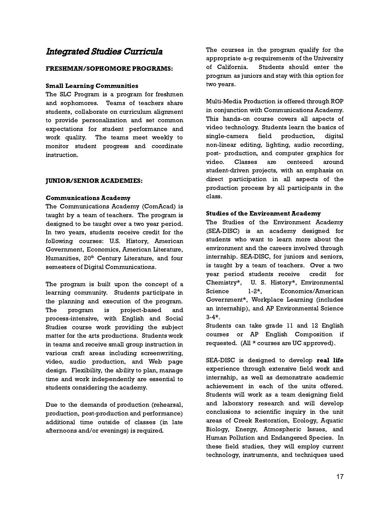# Integrated Studies Curricula

# FRESHMAN/SOPHOMORE PROGRAMS:

# Small Learning Communities

The SLC Program is a program for freshmen and sophomores. Teams of teachers share students, collaborate on curriculum alignment to provide personalization and set common expectations for student performance and work quality. The teams meet weekly to monitor student progress and coordinate instruction.

# JUNIOR/SENIOR ACADEMIES:

# Communications Academy

The Communications Academy (ComAcad) is taught by a team of teachers. The program is designed to be taught over a two year period. In two years, students receive credit for the following courses: U.S. History, American Government, Economics, American Literature, Humanities, 20<sup>th</sup> Century Literature, and four semesters of Digital Communications.

The program is built upon the concept of a learning community. Students participate in the planning and execution of the program. The program is project-based and process-intensive, with English and Social Studies course work providing the subject matter for the arts productions. Students work in teams and receive small group instruction in various craft areas including screenwriting, video, audio production, and Web page design. Flexibility, the ability to plan, manage time and work independently are essential to students considering the academy.

Due to the demands of production (rehearsal, production, post-production and performance) additional time outside of classes (in late afternoons and/or evenings) is required.

The courses in the program qualify for the appropriate a-g requirements of the University of California. Students should enter the program as juniors and stay with this option for two years.

Multi-Media Production is offered through ROP in conjunction with Communications Academy. This hands-on course covers all aspects of video technology. Students learn the basics of single-camera field production, digital non-linear editing, lighting, audio recording, post- production, and computer graphics for video. Classes are centered around student-driven projects, with an emphasis on direct participation in all aspects of the production process by all participants in the class.

# Studies of the Environment Academy

The Studies of the Environment Academy (SEA-DISC) is an academy designed for students who want to learn more about the environment and the careers involved through internship. SEA-DISC, for juniors and seniors, is taught by a team of teachers. Over a two year period students receive credit for Chemistry\*, U. S. History\*, Environmental Science 1-2\*, Economics/American Government\*, Workplace Learning (includes an internship), and AP Environmental Science  $3-4*$ .

Students can take grade 11 and 12 English courses or AP English Composition if requested. (All \* courses are UC approved).

SEA-DISC is designed to develop real life experience through extensive field work and internship, as well as demonstrate academic achievement in each of the units offered. Students will work as a team designing field and laboratory research and will develop conclusions to scientific inquiry in the unit areas of Creek Restoration, Ecology, Aquatic Biology, Energy, Atmospheric Issues, and Human Pollution and Endangered Species. In these field studies, they will employ current technology, instruments, and techniques used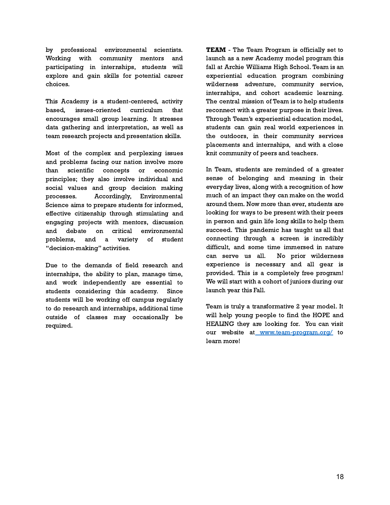by professional environmental scientists. Working with community mentors and participating in internships, students will explore and gain skills for potential career choices.

This Academy is a student-centered, activity based, issues-oriented curriculum that encourages small group learning. It stresses data gathering and interpretation, as well as team research projects and presentation skills.

Most of the complex and perplexing issues and problems facing our nation involve more than scientific concepts or economic principles; they also involve individual and social values and group decision making processes. Accordingly, Environmental Science aims to prepare students for informed, effective citizenship through stimulating and engaging projects with mentors, discussion and debate on critical environmental problems, and a variety of student "decision-making" activities.

Due to the demands of field research and internships, the ability to plan, manage time, and work independently are essential to students considering this academy. Since students will be working off campus regularly to do research and internships, additional time outside of classes may occasionally be required.

TEAM - The Team Program is officially set to launch as a new Academy model program this fall at Archie Williams High School. Team is an experiential education program combining wilderness adventure, community service, internships, and cohort academic learning. The central mission of Team is to help students reconnect with a greater purpose in their lives. Through Team's experiential education model, students can gain real world experiences in the outdoors, in their community services placements and internships, and with a close knit community of peers and teachers.

In Team, students are reminded of a greater sense of belonging and meaning in their everyday lives, along with a recognition of how much of an impact they can make on the world around them. Now more than ever, students are looking for ways to be present with their peers in person and gain life long skills to help them succeed. This pandemic has taught us all that connecting through a screen is incredibly difficult, and some time immersed in nature can serve us all. No prior wilderness experience is necessary and all gear is provided. This is a completely free program! We will start with a cohort of juniors during our launch year this Fall.

Team is truly a transformative 2 year model. It will help young people to find the HOPE and HEALING they are looking for. You can visit our website at [www.team-program.org/](http://www.team-program.org/) to learn more!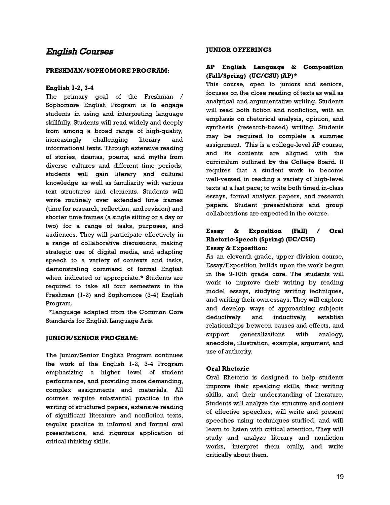# English Courses

# FRESHMAN/SOPHOMORE PROGRAM:

# English 1-2, 3-4

The primary goal of the Freshman / Sophomore English Program is to engage students in using and interpreting language skillfully. Students will read widely and deeply from among a broad range of high-quality, increasingly challenging literary and informational texts. Through extensive reading of stories, dramas, poems, and myths from diverse cultures and different time periods, students will gain literary and cultural knowledge as well as familiarity with various text structures and elements. Students will write routinely over extended time frames (time for research, reflection, and revision) and shorter time frames (a single sitting or a day or two) for a range of tasks, purposes, and audiences. They will participate effectively in a range of collaborative discussions, making strategic use of digital media, and adapting speech to a variety of contexts and tasks, demonstrating command of formal English when indicated or appropriate.\* Students are required to take all four semesters in the Freshman (1-2) and Sophomore (3-4) English Program.

\*Language adapted from the Common Core Standards for English Language Arts.

# JUNIOR/SENIOR PROGRAM:

The Junior/Senior English Program continues the work of the English 1-2, 3-4 Program emphasizing a higher level of student performance, and providing more demanding, complex assignments and materials. All courses require substantial practice in the writing of structured papers, extensive reading of significant literature and nonfiction texts, regular practice in informal and formal oral presentations, and rigorous application of critical thinking skills.

# JUNIOR OFFERINGS

# AP English Language & Composition (Fall/Spring) (UC/CSU) (AP)\*

This course, open to juniors and seniors, focuses on the close reading of texts as well as analytical and argumentative writing. Students will read both fiction and nonfiction, with an emphasis on rhetorical analysis, opinion, and synthesis (research-based) writing. Students may be required to complete a summer assignment. This is a college-level AP course, and its contents are aligned with the curriculum outlined by the College Board. It requires that a student work to become well-versed in reading a variety of high-level texts at a fast pace; to write both timed in-class essays, formal analysis papers, and research papers. Student presentations and group collaborations are expected in the course.

# Essay & Exposition (Fall) / Oral Rhetoric-Speech (Spring) (UC/CSU) Essay & Exposition:

As an eleventh grade, upper division course, Essay/Exposition builds upon the work begun in the 9-10th grade core. The students will work to improve their writing by reading model essays, studying writing techniques, and writing their own essays. They will explore and develop ways of approaching subjects deductively and inductively, establish relationships between causes and effects, and support generalizations with analogy, anecdote, illustration, example, argument, and use of authority.

# Oral Rhetoric

Oral Rhetoric is designed to help students improve their speaking skills, their writing skills, and their understanding of literature. Students will analyze the structure and content of effective speeches, will write and present speeches using techniques studied, and will learn to listen with critical attention. They will study and analyze literary and nonfiction works, interpret them orally, and write critically about them.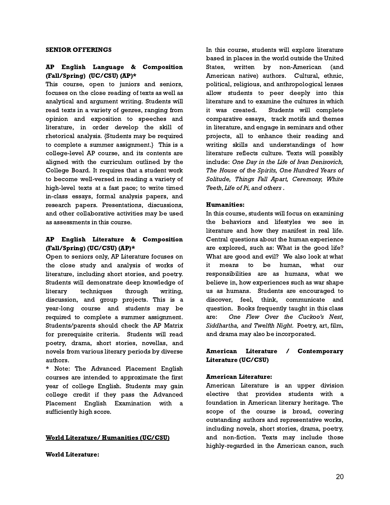#### SENIOR OFFERINGS

# AP English Language & Composition (Fall/Spring) (UC/CSU) (AP)\*

This course, open to juniors and seniors, focuses on the close reading of texts as well as analytical and argument writing. Students will read texts in a variety of genres, ranging from opinion and exposition to speeches and literature, in order develop the skill of rhetorical analysis. {Students may be required to complete a summer assignment.} This is a college-level AP course, and its contents are aligned with the curriculum outlined by the College Board. It requires that a student work to become well-versed in reading a variety of high-level texts at a fast pace; to write timed in-class essays, formal analysis papers, and research papers. Presentations, discussions, and other collaborative activities may be used as assessments in this course.

# AP English Literature & Composition (Fall/Spring) (UC/CSU) (AP)\*

Open to seniors only, AP Literature focuses on the close study and analysis of works of literature, including short stories, and poetry. Students will demonstrate deep knowledge of literary techniques through writing, discussion, and group projects. This is a year-long course and students may be required to complete a summer assignment. Students/parents should check the AP Matrix for prerequisite criteria. Students will read poetry, drama, short stories, novellas, and novels from various literary periods by diverse authors.

\* Note: The Advanced Placement English courses are intended to approximate the first year of college English. Students may gain college credit if they pass the Advanced Placement English Examination with a sufficiently high score.

# World Literature/ Humanities (UC/CSU)

# World Literature:

In this course, students will explore literature based in places in the world outside the United States, written by non-American (and American native) authors. Cultural, ethnic, political, religious, and anthropological lenses allow students to peer deeply into this literature and to examine the cultures in which it was created. Students will complete comparative essays, track motifs and themes in literature, and engage in seminars and other projects, all to enhance their reading and writing skills and understandings of how literature reflects culture. Texts will possibly include: One Day in the Life of Ivan Denisovich, The House of the Spirits, One Hundred Years of Solitude, Things Fall Apart, Ceremony, White Teeth, Life of Pi, and others .

# Humanities:

In this course, students will focus on examining the behaviors and lifestyles we see in literature and how they manifest in real life. Central questions about the human experience are explored, such as: What is the good life? What are good and evil? We also look at what it means to be human, what our responsibilities are as humans, what we believe in, how experiences such as war shape us as humans. Students are encouraged to discover, feel, think, communicate and question. Books frequently taught in this class are: One Flew Over the Cuckoo's Nest, Siddhartha, and Twelfth Night. Poetry, art, film, and drama may also be incorporated.

# American Literature / Contemporary Literature (UC/CSU)

# American Literature:

American Literature is an upper division elective that provides students with a foundation in American literary heritage. The scope of the course is broad, covering outstanding authors and representative works, including novels, short stories, drama, poetry, and non-fiction. Texts may include those highly-regarded in the American canon, such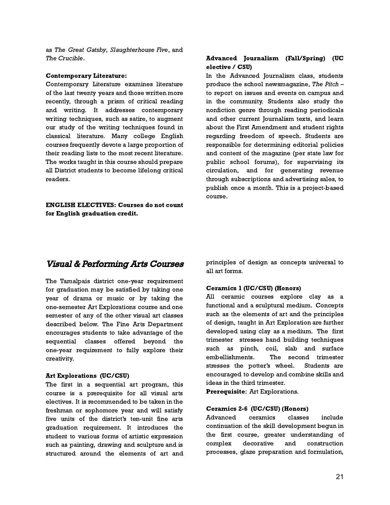as The Great Gatsby, Slaughterhouse Five, and The Crucible.

#### Contemporary Literature:

Contemporary Literature examines literature of the last twenty years and those written more recently, through a prism of critical reading and writing. It addresses contemporary writing techniques, such as satire, to augment our study of the writing techniques found in classical literature. Many college English courses frequently devote a large proportion of their reading lists to the most recent literature. The works taught in this course should prepare all District students to become lifelong critical readers.

# ENGLISH ELECTIVES: Courses do not count for English graduation credit.

# Advanced Journalism (Fall/Spring) (UC elective / CSU)

In the Advanced Journalism class, students produce the school newsmagazine, The Pitch – to report on issues and events on campus and in the community. Students also study the nonfiction genre through reading periodicals and other current Journalism texts, and learn about the First Amendment and student rights regarding freedom of speech. Students are responsible for determining editorial policies and content of the magazine (per state law for public school forums), for supervising its circulation, and for generating revenue through subscriptions and advertising sales, to publish once a month. This is a project-based course.

# Visual & Performing Arts Courses

The Tamalpais district one-year requirement for graduation may be satisfied by taking one year of drama or music or by taking the one-semester Art Explorations course and one semester of any of the other visual art classes described below. The Fine Arts Department encourages students to take advantage of the sequential classes offered beyond the one-year requirement to fully explore their creativity.

#### Art Explorations (UC/CSU)

The first in a sequential art program, this course is a prerequisite for all visual arts electives. It is recommended to be taken in the freshman or sophomore year and will satisfy five units of the district's ten-unit fine arts graduation requirement. It introduces the student to various forms of artistic expression such as painting, drawing and sculpture and is structured around the elements of art and principles of design as concepts universal to all art forms.

# Ceramics 1 (UC/CSU) (Honors)

All ceramic courses explore clay as a functional and a sculptural medium. Concepts such as the elements of art and the principles of design, taught in Art Exploration are further developed using clay as a medium. The first trimester stresses hand building techniques such as pinch, coil, slab and surface embellishments. The second trimester stresses the potter's wheel. Students are encouraged to develop and combine skills and ideas in the third trimester.

Prerequisite: Art Explorations.

# Ceramics 2-6 (UC/CSU) (Honors)

Advanced ceramics classes include continuation of the skill development begun in the first course, greater understanding of complex decorative and construction processes, glaze preparation and formulation,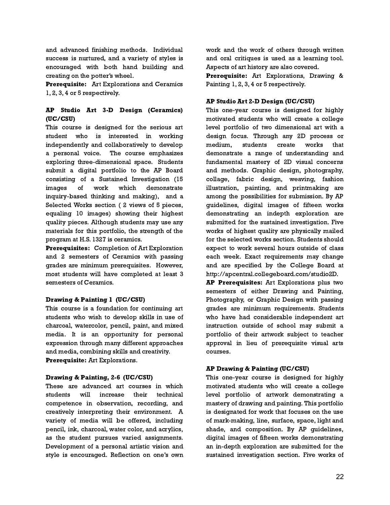and advanced finishing methods. Individual success is nurtured, and a variety of styles is encouraged with both hand building and creating on the potter's wheel.

Prerequisite: Art Explorations and Ceramics 1, 2, 3, 4 or 5 respectively.

# AP Studio Art 3-D Design (Ceramics) (UC/CSU)

This course is designed for the serious art student who is interested in working independently and collaboratively to develop a personal voice. The course emphasizes exploring three-dimensional space. Students submit a digital portfolio to the AP Board consisting of a Sustained Investigation (15 images of work which demonstrate inquiry-based thinking and making), and a Selected Works section ( 2 views of 5 pieces, equaling 10 images) showing their highest quality pieces. Although students may use any materials for this portfolio, the strength of the program at H.S. 1327 is ceramics.

Prerequisites: Completion of Art Exploration and 2 semesters of Ceramics with passing grades are minimum prerequisites. However, most students will have completed at least 3 semesters of Ceramics.

# Drawing & Painting 1 (UC/CSU)

This course is a foundation for continuing art students who wish to develop skills in use of charcoal, watercolor, pencil, paint, and mixed media. It is an opportunity for personal expression through many different approaches and media, combining skills and creativity. Prerequisite: Art Explorations.

# Drawing & Painting, 2-6 (UC/CSU)

These are advanced art courses in which students will increase their technical competence in observation, recording, and creatively interpreting their environment. A variety of media will be offered, including pencil, ink, charcoal, water color, and acrylics, as the student pursues varied assignments. Development of a personal artistic vision and style is encouraged. Reflection on one's own work and the work of others through written and oral critiques is used as a learning tool. Aspects of art history are also covered.

Prerequisite: Art Explorations, Drawing & Painting 1, 2, 3, 4 or 5 respectively.

# AP Studio Art 2-D Design (UC/CSU)

This one-year course is designed for highly motivated students who will create a college level portfolio of two dimensional art with a design focus. Through any 2D process or medium, students create works that demonstrate a range of understanding and fundamental mastery of 2D visual concerns and methods. Graphic design, photography, collage, fabric design, weaving, fashion illustration, painting, and printmaking are among the possibilities for submission. By AP guidelines, digital images of fifteen works demonstrating an indepth exploration are submitted for the sustained investigation. Five works of highest quality are physically mailed for the selected works section. Students should expect to work several hours outside of class each week. Exact requirements may change and are specified by the College Board at http://apcentral.collegeboard.com/studio2D.

AP Prerequisites: Art Explorations plus two semesters of either Drawing and Painting, Photography, or Graphic Design with passing grades are minimum requirements. Students who have had considerable independent art instruction outside of school may submit a portfolio of their artwork subject to teacher approval in lieu of prerequisite visual arts courses.

# AP Drawing & Painting (UC/CSU)

This one-year course is designed for highly motivated students who will create a college level portfolio of artwork demonstrating a mastery of drawing and painting. This portfolio is designated for work that focuses on the use of mark-making, line, surface, space, light and shade, and composition. By AP guidelines, digital images of fifteen works demonstrating an in-depth exploration are submitted for the sustained investigation section. Five works of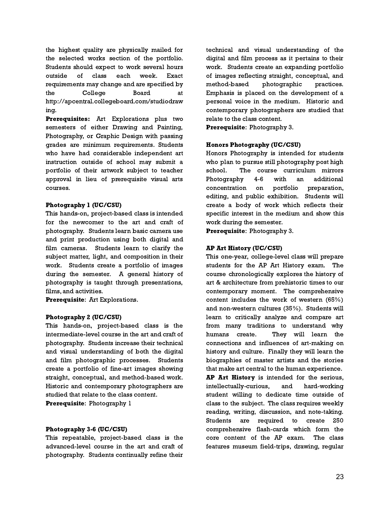the highest quality are physically mailed for the selected works section of the portfolio. Students should expect to work several hours outside of class each week. Exact requirements may change and are specified by the College Board at http://apcentral.collegeboard.com/studiodraw ing.

Prerequisites: Art Explorations plus two semesters of either Drawing and Painting, Photography, or Graphic Design with passing grades are minimum requirements. Students who have had considerable independent art instruction outside of school may submit a portfolio of their artwork subject to teacher approval in lieu of prerequisite visual arts courses.

# Photography 1 (UC/CSU)

This hands-on, project-based class is intended for the newcomer to the art and craft of photography. Students learn basic camera use and print production using both digital and film cameras. Students learn to clarify the subject matter, light, and composition in their work. Students create a portfolio of images during the semester. A general history of photography is taught through presentations, films, and activities.

Prerequisite: Art Explorations.

# Photography 2 (UC/CSU)

This hands-on, project-based class is the intermediate-level course in the art and craft of photography. Students increase their technical and visual understanding of both the digital and film photographic processes. Students create a portfolio of fine-art images showing straight, conceptual, and method-based work. Historic and contemporary photographers are studied that relate to the class content.

Prerequisite: Photography 1

# Photography 3-6 (UC/CSU)

This repeatable, project-based class is the advanced-level course in the art and craft of photography. Students continually refine their

technical and visual understanding of the digital and film process as it pertains to their work. Students create an expanding portfolio of images reflecting straight, conceptual, and method-based photographic practices. Emphasis is placed on the development of a personal voice in the medium. Historic and contemporary photographers are studied that relate to the class content.

Prerequisite: Photography 3.

# Honors Photography (UC/CSU)

Honors Photography is intended for students who plan to pursue still photography post high school. The course curriculum mirrors Photography 4-6 with an additional concentration on portfolio preparation, editing, and public exhibition. Students will create a body of work which reflects their specific interest in the medium and show this work during the semester.

Prerequisite: Photography 3.

# AP Art History (UC/CSU)

This one-year, college-level class will prepare students for the AP Art History exam. The course chronologically explores the history of art & architecture from prehistoric times to our contemporary moment. The comprehensive content includes the work of western (65%) and non-western cultures (35%). Students will learn to critically analyze and compare art from many traditions to understand why humans create. They will learn the connections and influences of art-making on history and culture. Finally they will learn the biographies of master artists and the stories that make art central to the human experience. AP Art History is intended for the serious, intellectually-curious, and hard-working student willing to dedicate time outside of class to the subject. The class requires weekly reading, writing, discussion, and note-taking. Students are required to create 250 comprehensive flash-cards which form the core content of the AP exam. The class features museum field-trips, drawing, regular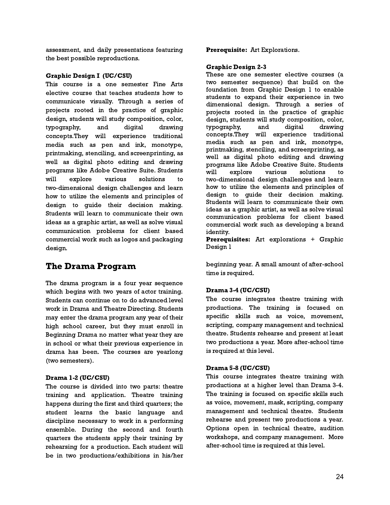assessment, and daily presentations featuring the best possible reproductions.

#### Graphic Design I (UC/CSU)

This course is a one semester Fine Arts elective course that teaches students how to communicate visually. Through a series of projects rooted in the practice of graphic design, students will study composition, color, typography, and digital drawing concepts.They will experience traditional media such as pen and ink, monotype, printmaking, stenciling, and screenprinting, as well as digital photo editing and drawing programs like Adobe Creative Suite. Students will explore various solutions to two-dimensional design challenges and learn how to utilize the elements and principles of design to guide their decision making. Students will learn to communicate their own ideas as a graphic artist, as well as solve visual communication problems for client based commercial work such as logos and packaging design.

# The Drama Program

The drama program is a four year sequence which begins with two years of actor training. Students can continue on to do advanced level work in Drama and Theatre Directing. Students may enter the drama program any year of their high school career, but they must enroll in Beginning Drama no matter what year they are in school or what their previous experience in drama has been. The courses are yearlong (two semesters).

# Drama 1-2 (UC/CSU)

The course is divided into two parts: theatre training and application. Theatre training happens during the first and third quarters; the student learns the basic language and discipline necessary to work in a performing ensemble. During the second and fourth quarters the students apply their training by rehearsing for a production. Each student will be in two productions/exhibitions in his/her Prerequisite: Art Explorations.

#### Graphic Design 2-3

These are one semester elective courses (a two semester sequence) that build on the foundation from Graphic Design 1 to enable students to expand their experience in two dimensional design. Through a series of projects rooted in the practice of graphic design, students will study composition, color, typography, and digital drawing concepts.They will experience traditional media such as pen and ink, monotype, printmaking, stenciling, and screenprinting, as well as digital photo editing and drawing programs like Adobe Creative Suite. Students will explore various solutions to two-dimensional design challenges and learn how to utilize the elements and principles of design to guide their decision making. Students will learn to communicate their own ideas as a graphic artist, as well as solve visual communication problems for client based commercial work such as developing a brand identity.

Prerequisites: Art explorations + Graphic Design 1

beginning year. A small amount of after-school time is required.

# Drama 3-4 (UC/CSU)

The course integrates theatre training with productions. The training is focused on specific skills such as voice, movement, scripting, company management and technical theatre. Students rehearse and present at least two productions a year. More after-school time is required at this level.

#### Drama 5-8 (UC/CSU)

This course integrates theatre training with productions at a higher level than Drama 3-4. The training is focused on specific skills such as voice, movement, mask, scripting, company management and technical theatre. Students rehearse and present two productions a year. Options open in technical theatre, audition workshops, and company management. More after-school time is required at this level.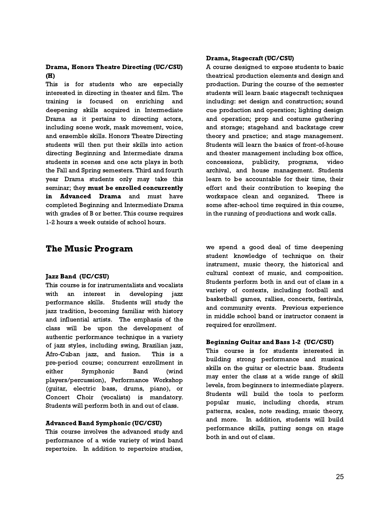# Drama, Honors Theatre Directing (UC/CSU) (H)

This is for students who are especially interested in directing in theater and film. The training is focused on enriching and deepening skills acquired in Intermediate Drama as it pertains to directing actors, including scene work, mask movement, voice, and ensemble skills. Honors Theatre Directing students will then put their skills into action directing Beginning and Intermediate drama students in scenes and one acts plays in both the Fall and Spring semesters. Third and fourth year Drama students only may take this seminar; they must be enrolled concurrently in Advanced Drama and must have completed Beginning and Intermediate Drama with grades of B or better. This course requires 1-2 hours a week outside of school hours.

# The Music Program

# Jazz Band (UC/CSU)

This course is for instrumentalists and vocalists with an interest in developing jazz performance skills. Students will study the jazz tradition, becoming familiar with history and influential artists. The emphasis of the class will be upon the development of authentic performance technique in a variety of jazz styles, including swing, Brazilian jazz, Afro-Cuban jazz, and fusion. This is a pre-period course; concurrent enrollment in either Symphonic Band (wind players/percussion), Performance Workshop (guitar, electric bass, drums, piano), or Concert Choir (vocalists) is mandatory. Students will perform both in and out of class.

# Advanced Band Symphonic (UC/CSU)

This course involves the advanced study and performance of a wide variety of wind band repertoire. In addition to repertoire studies,

# Drama, Stagecraft (UC/CSU)

A course designed to expose students to basic theatrical production elements and design and production. During the course of the semester students will learn basic stagecraft techniques including: set design and construction; sound cue production and operation; lighting design and operation; prop and costume gathering and storage; stagehand and backstage crew theory and practice; and stage management. Students will learn the basics of front-of-house and theater management including box office, concessions, publicity, programs, video archival, and house management. Students learn to be accountable for their time, their effort and their contribution to keeping the workspace clean and organized. There is some after-school time required in this course, in the running of productions and work calls.

we spend a good deal of time deepening student knowledge of technique on their instrument, music theory, the historical and cultural context of music, and composition. Students perform both in and out of class in a variety of contexts, including football and basketball games, rallies, concerts, festivals, and community events. Previous experience in middle school band or instructor consent is required for enrollment.

# Beginning Guitar and Bass 1-2 (UC/CSU)

This course is for students interested in building strong performance and musical skills on the guitar or electric bass. Students may enter the class at a wide range of skill levels, from beginners to intermediate players. Students will build the tools to perform popular music, including chords, strum patterns, scales, note reading, music theory, and more. In addition, students will build performance skills, putting songs on stage both in and out of class.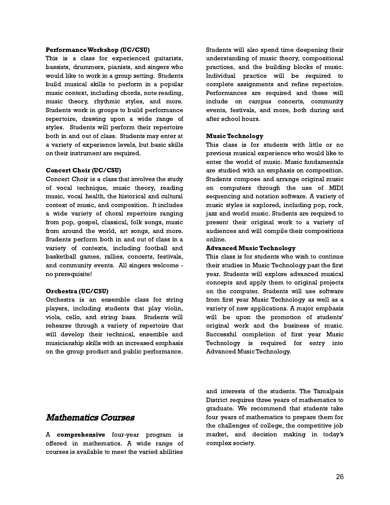#### PerformanceWorkshop (UC/CSU)

This is a class for experienced guitarists, bassists, drummers, pianists, and singers who would like to work in a group setting. Students build musical skills to perform in a popular music context, including chords, note reading, music theory, rhythmic styles, and more. Students work in groups to build performance repertoire, drawing upon a wide range of styles. Students will perform their repertoire both in and out of class. Students may enter at a variety of experience levels, but basic skills on their instrument are required.

#### Concert Choir (UC/CSU)

Concert Choir is a class that involves the study of vocal technique, music theory, reading music, vocal health, the historical and cultural context of music, and composition. It includes a wide variety of choral repertoire ranging from pop, gospel, classical, folk songs, music from around the world, art songs, and more. Students perform both in and out of class in a variety of contexts, including football and basketball games, rallies, concerts, festivals, and community events. All singers welcome no prerequisite!

# Orchestra (UC/CSU)

Orchestra is an ensemble class for string players, including students that play violin, viola, cello, and string bass. Students will rehearse through a variety of repertoire that will develop their technical, ensemble and musicianship skills with an increased emphasis on the group product and public performance.

Students will also spend time deepening their understanding of music theory, compositional practices, and the building blocks of music. Individual practice will be required to complete assignments and refine repertoire. Performances are required and these will include on campus concerts, community events, festivals, and more, both during and after school hours.

#### Music Technology

This class is for students with little or no previous musical experience who would like to enter the world of music. Music fundamentals are studied with an emphasis on composition. Students compose and arrange original music on computers through the use of MIDI sequencing and notation software. A variety of music styles is explored, including pop, rock, jazz and world music. Students are required to present their original work to a variety of audiences and will compile their compositions online.

#### Advanced Music Technology

This class is for students who wish to continue their studies in Music Technology past the first year. Students will explore advanced musical concepts and apply them to original projects on the computer. Students will use software from first year Music Technology as well as a variety of new applications. A major emphasis will be upon the promotion of students' original work and the business of music. Successful completion of first year Music Technology is required for entry into Advanced Music Technology.

# Mathematics Courses

A comprehensive four-year program is offered in mathematics. A wide range of courses is available to meet the varied abilities

and interests of the students. The Tamalpais District requires three years of mathematics to graduate. We recommend that students take four years of mathematics to prepare them for the challenges of college, the competitive job market, and decision making in today's complex society.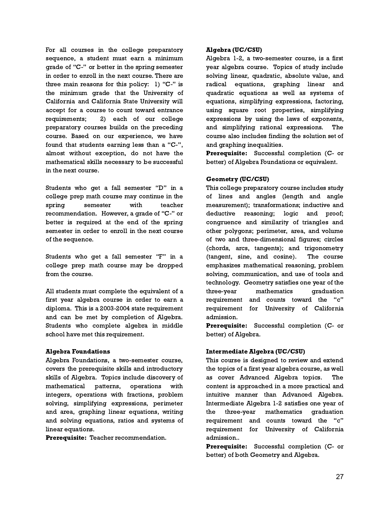For all courses in the college preparatory sequence, a student must earn a minimum grade of "C-" or better in the spring semester in order to enroll in the next course. There are three main reasons for this policy: 1) "C-" is the minimum grade that the University of California and California State University will accept for a course to count toward entrance requirements; 2) each of our college preparatory courses builds on the preceding course. Based on our experience, we have found that students earning less than a "C-", almost without exception, do not have the mathematical skills necessary to be successful in the next course.

Students who get a fall semester "D" in a college prep math course may continue in the spring semester with teacher recommendation. However, a grade of "C-" or better is required at the end of the spring semester in order to enroll in the next course of the sequence.

Students who get a fall semester "F" in a college prep math course may be dropped from the course.

All students must complete the equivalent of a first year algebra course in order to earn a diploma. This is a 2003-2004 state requirement and can be met by completion of Algebra. Students who complete algebra in middle school have met this requirement.

# Algebra Foundations

Algebra Foundations, a two-semester course, covers the prerequisite skills and introductory skills of Algebra. Topics include discovery of mathematical patterns, operations with integers, operations with fractions, problem solving, simplifying expressions, perimeter and area, graphing linear equations, writing and solving equations, ratios and systems of linear equations.

Prerequisite: Teacher recommendation.

# Algebra (UC/CSU)

Algebra 1-2, a two-semester course, is a first year algebra course. Topics of study include solving linear, quadratic, absolute value, and radical equations, graphing linear and quadratic equations as well as systems of equations, simplifying expressions, factoring, using square root properties, simplifying expressions by using the laws of exponents, and simplifying rational expressions. The course also includes finding the solution set of and graphing inequalities.

Prerequisite: Successful completion (C- or better) of Algebra Foundations or equivalent.

# Geometry (UC/CSU)

This college preparatory course includes study of lines and angles (length and angle measurement); transformations; inductive and deductive reasoning; logic and proof; congruence and similarity of triangles and other polygons; perimeter, area, and volume of two and three-dimensional figures; circles (chords, arcs, tangents); and trigonometry (tangent, sine, and cosine). The course emphasizes mathematical reasoning, problem solving, communication, and use of tools and technology. Geometry satisfies one year of the three-year mathematics graduation requirement and counts toward the "c" requirement for University of California admission.

Prerequisite: Successful completion (C- or better) of Algebra.

# Intermediate Algebra (UC/CSU)

This course is designed to review and extend the topics of a first year algebra course, as well as cover Advanced Algebra topics. The content is approached in a more practical and intuitive manner than Advanced Algebra. Intermediate Algebra 1-2 satisfies one year of the three-year mathematics graduation requirement and counts toward the "c" requirement for University of California admission..

Prerequisite: Successful completion (C- or better) of both Geometry and Algebra.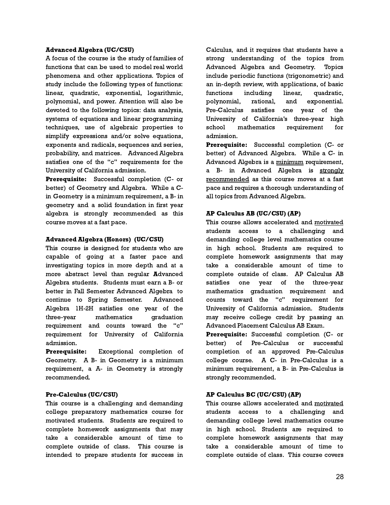#### Advanced Algebra (UC/CSU)

A focus of the course is the study of families of functions that can be used to model real world phenomena and other applications. Topics of study include the following types of functions: linear, quadratic, exponential, logarithmic, polynomial, and power. Attention will also be devoted to the following topics: data analysis, systems of equations and linear programming techniques, use of algebraic properties to simplify expressions and/or solve equations, exponents and radicals, sequences and series, probability, and matrices. Advanced Algebra satisfies one of the "c" requirements for the University of California admission.

Prerequisite: Successful completion (C- or better) of Geometry and Algebra. While a Cin Geometry is a minimum requirement, a B- in geometry and a solid foundation in first year algebra is strongly recommended as this course moves at a fast pace.

#### Advanced Algebra (Honors) (UC/CSU)

This course is designed for students who are capable of going at a faster pace and investigating topics in more depth and at a more abstract level than regular Advanced Algebra students. Students must earn a B- or better in Fall Semester Advanced Algebra to continue to Spring Semester. Advanced Algebra 1H-2H satisfies one year of the three-year mathematics graduation requirement and counts toward the "c" requirement for University of California admission.

Prerequisite: Exceptional completion of Geometry. A B- in Geometry is a minimum requirement, a A- in Geometry is strongly recommended.

# Pre-Calculus (UC/CSU)

This course is a challenging and demanding college preparatory mathematics course for motivated students. Students are required to complete homework assignments that may take a considerable amount of time to complete outside of class. This course is intended to prepare students for success in

Calculus, and it requires that students have a strong understanding of the topics from Advanced Algebra and Geometry. Topics include periodic functions (trigonometric) and an in-depth review, with applications, of basic functions including linear, quadratic, polynomial, rational, and exponential. Pre-Calculus satisfies one year of the University of California's three-year high school mathematics requirement for admission.

Prerequisite: Successful completion (C- or better) of Advanced Algebra. While a C- in Advanced Algebra is a minimum requirement, a B- in Advanced Algebra is strongly recommended as this course moves at a fast pace and requires a thorough understanding of all topics from Advanced Algebra.

# AP Calculus AB (UC/CSU) (AP)

This course allows accelerated and motivated students access to a challenging and demanding college level mathematics course in high school. Students are required to complete homework assignments that may take a considerable amount of time to complete outside of class. AP Calculus AB satisfies one year of the three-year mathematics graduation requirement and counts toward the "c" requirement for University of California admission. Students may receive college credit by passing an Advanced Placement Calculus AB Exam.

Prerequisite: Successful completion (C- or better) of Pre-Calculus or successful completion of an approved Pre-Calculus college course. A C- in Pre-Calculus is a minimum requirement, a B- in Pre-Calculus is strongly recommended.

# AP Calculus BC (UC/CSU) (AP)

This course allows accelerated and motivated students access to a challenging and demanding college level mathematics course in high school. Students are required to complete homework assignments that may take a considerable amount of time to complete outside of class. This course covers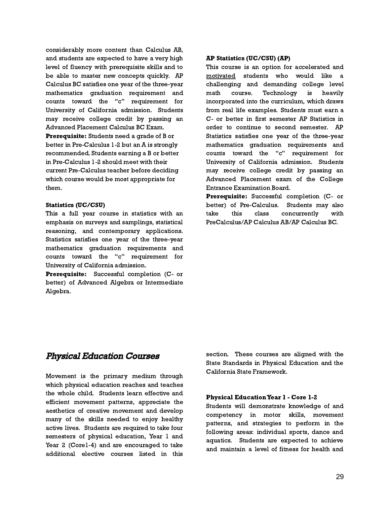considerably more content than Calculus AB, and students are expected to have a very high level of fluency with prerequisite skills and to be able to master new concepts quickly. AP Calculus BC satisfies one year of the three-year mathematics graduation requirement and counts toward the "c" requirement for University of California admission. Students may receive college credit by passing an Advanced Placement Calculus BC Exam.

Prerequisite: Students need a grade of B or better in Pre-Calculus 1-2 but an A is strongly recommended. Students earning a B or better in Pre-Calculus 1-2 should meet with their current Pre-Calculus teacher before deciding which course would be most appropriate for them.

#### Statistics (UC/CSU)

This a full year course in statistics with an emphasis on surveys and samplings, statistical reasoning, and contemporary applications. Statistics satisfies one year of the three-year mathematics graduation requirements and counts toward the "c" requirement for University of California admission.

Prerequisite: Successful completion (C- or better) of Advanced Algebra or Intermediate Algebra.

# AP Statistics (UC/CSU) (AP)

This course is an option for accelerated and motivated students who would like a challenging and demanding college level math course. Technology is heavily incorporated into the curriculum, which draws from real life examples. Students must earn a C- or better in first semester AP Statistics in order to continue to second semester. AP Statistics satisfies one year of the three-year mathematics graduation requirements and counts toward the "c" requirement for University of California admission. Students may receive college credit by passing an Advanced Placement exam of the College Entrance Examination Board.

Prerequisite: Successful completion (C- or better) of Pre-Calculus. Students may also take this class concurrently with PreCalculus/AP Calculus AB/AP Calculus BC.

# Physical Education Courses

Movement is the primary medium through which physical education reaches and teaches the whole child. Students learn effective and efficient movement patterns, appreciate the aesthetics of creative movement and develop many of the skills needed to enjoy healthy active lives. Students are required to take four semesters of physical education, Year 1 and Year 2 (Corel-4) and are encouraged to take additional elective courses listed in this section. These courses are aligned with the State Standards in Physical Education and the California State Framework.

# Physical EducationYear 1 - Core 1-2

Students will demonstrate knowledge of and competency in motor skills, movement patterns, and strategies to perform in the following areas: individual sports, dance and aquatics. Students are expected to achieve and maintain a level of fitness for health and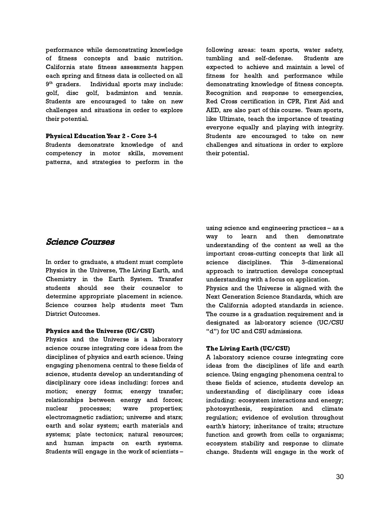performance while demonstrating knowledge of fitness concepts and basic nutrition. California state fitness assessments happen each spring and fitness data is collected on all  $9<sup>th</sup>$  qraders. Individual sports may include: golf, disc golf, badminton and tennis. Students are encouraged to take on new challenges and situations in order to explore their potential.

#### Physical EducationYear 2 - Core 3-4

Students demonstrate knowledge of and competency in motor skills, movement patterns, and strategies to perform in the

following areas: team sports, water safety, tumbling and self-defense. Students are expected to achieve and maintain a level of fitness for health and performance while demonstrating knowledge of fitness concepts. Recognition and response to emergencies, Red Cross certification in CPR, First Aid and AED, are also part of this course. Team sports, like Ultimate, teach the importance of treating everyone equally and playing with integrity. Students are encouraged to take on new challenges and situations in order to explore their potential.

# Science Courses

In order to graduate, a student must complete Physics in the Universe, The Living Earth, and Chemistry in the Earth System. Transfer students should see their counselor to determine appropriate placement in science. Science courses help students meet Tam District Outcomes.

# Physics and the Universe (UC/CSU)

Physics and the Universe is a laboratory science course integrating core ideas from the disciplines of physics and earth science. Using engaging phenomena central to these fields of science, students develop an understanding of disciplinary core ideas including: forces and motion; energy forms; energy transfer; relationships between energy and forces; nuclear processes; wave properties; electromagnetic radiation; universe and stars; earth and solar system; earth materials and systems; plate tectonics; natural resources; and human impacts on earth systems. Students will engage in the work of scientists –

using science and engineering practices – as a way to learn and then demonstrate understanding of the content as well as the important cross-cutting concepts that link all science disciplines. This 3-dimensional approach to instruction develops conceptual understanding with a focus on application. Physics and the Universe is aligned with the

Next Generation Science Standards, which are the California adopted standards in science. The course is a graduation requirement and is designated as laboratory science (UC/CSU "d") for UC and CSU admissions.

# The Living Earth (UC/CSU)

A laboratory science course integrating core ideas from the disciplines of life and earth science. Using engaging phenomena central to these fields of science, students develop an understanding of disciplinary core ideas including: ecosystem interactions and energy; photosynthesis, respiration and climate regulation; evidence of evolution throughout earth's history; inheritance of traits; structure function and growth from cells to organisms; ecosystem stability and response to climate change. Students will engage in the work of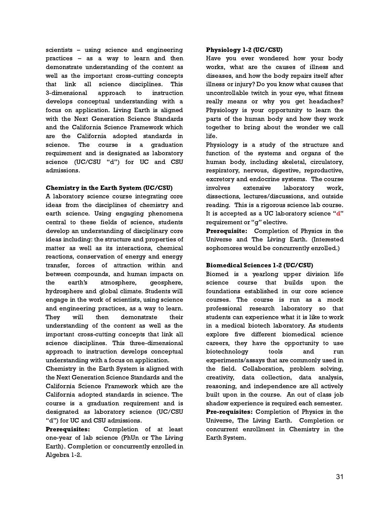scientists – using science and engineering practices – as a way to learn and then demonstrate understanding of the content as well as the important cross-cutting concepts that link all science disciplines. This 3-dimensional approach to instruction develops conceptual understanding with a focus on application. Living Earth is aligned with the Next Generation Science Standards and the California Science Framework which are the California adopted standards in science. The course is a graduation requirement and is designated as laboratory science (UC/CSU "d") for UC and CSU admissions.

# Chemistry in the Earth System (UC/CSU)

A laboratory science course integrating core ideas from the disciplines of chemistry and earth science. Using engaging phenomena central to these fields of science, students develop an understanding of disciplinary core ideas including: the structure and properties of matter as well as its interactions, chemical reactions, conservation of energy and energy transfer, forces of attraction within and between compounds, and human impacts on the earth's atmosphere, geosphere, hydrosphere and global climate. Students will engage in the work of scientists, using science and engineering practices, as a way to learn. They will then demonstrate their understanding of the content as well as the important cross-cutting concepts that link all science disciplines. This three-dimensional approach to instruction develops conceptual understanding with a focus on application.

Chemistry in the Earth System is aligned with the Next Generation Science Standards and the California Science Framework which are the California adopted standards in science. The course is a graduation requirement and is designated as laboratory science (UC/CSU "d") for UC and CSU admissions.

Prerequisites: Completion of at least one-year of lab science (PhUn or The Living Earth). Completion or concurrently enrolled in Algebra 1-2.

# Physiology 1-2 (UC/CSU)

Have you ever wondered how your body works, what are the causes of illness and diseases, and how the body repairs itself after illness or injury? Do you know what causes that uncontrollable twitch in your eye, what fitness really means or why you get headaches? Physiology is your opportunity to learn the parts of the human body and how they work together to bring about the wonder we call life.

Physiology is a study of the structure and function of the systems and organs of the human body, including skeletal, circulatory, respiratory, nervous, digestive, reproductive, excretory and endocrine systems. The course involves extensive laboratory work, dissections, lectures/discussions, and outside reading. This is a rigorous science lab course. It is accepted as a UC laboratory science "d" requirement or "g" elective.

Prerequisite: Completion of Physics in the Universe and The Living Earth. (Interested sophomores would be concurrently enrolled.)

# Biomedical Sciences 1-2 (UC/CSU)

Biomed is a yearlong upper division life science course that builds upon the foundations established in our core science courses. The course is run as a mock professional research laboratory so that students can experience what it is like to work in a medical biotech laboratory. As students explore five different biomedical science careers, they have the opportunity to use biotechnology tools and run experiments/assays that are commonly used in the field. Collaboration, problem solving, creativity, data collection, data analysis, reasoning, and independence are all actively built upon in the course. An out of class job shadow experience is required each semester. Pre-requisites: Completion of Physics in the Universe, The Living Earth. Completion or concurrent enrollment in Chemistry in the Earth System.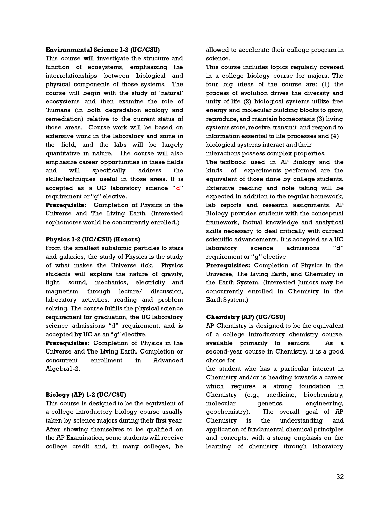#### Environmental Science 1-2 (UC/CSU)

This course will investigate the structure and function of ecosystems, emphasizing the interrelationships between biological and physical components of those systems. The course will begin with the study of 'natural' ecosystems and then examine the role of 'humans (in both degradation ecology and remediation) relative to the current status of those areas. Course work will be based on extensive work in the laboratory and some in the field, and the labs will be largely quantitative in nature. The course will also emphasize career opportunities in these fields and will specifically address the skills/techniques useful in those areas. It is accepted as a UC laboratory science "d" requirement or "g" elective.

Prerequisite: Completion of Physics in the Universe and The Living Earth. (Interested sophomores would be concurrently enrolled.)

# Physics 1-2 (UC/CSU) (Honors)

From the smallest subatomic particles to stars and galaxies, the study of Physics is the study of what makes the Universe tick. Physics students will explore the nature of gravity, light, sound, mechanics, electricity and magnetism through lecture/ discussion, laboratory activities, reading and problem solving. The course fulfills the physical science requirement for graduation, the UC laboratory science admissions "d" requirement, and is accepted by UC as an "g" elective.

Prerequisites: Completion of Physics in the Universe and The Living Earth. Completion or concurrent enrollment in Advanced Algebra1-2.

# Biology (AP) 1-2 (UC/CSU)

This course is designed to be the equivalent of a college introductory biology course usually taken by science majors during their first year. After showing themselves to be qualified on the AP Examination, some students will receive college credit and, in many colleges, be

allowed to accelerate their college program in science.

This course includes topics regularly covered in a college biology course for majors. The four big ideas of the course are: (1) the process of evolution drives the diversity and unity of life (2) biological systems utilize free energy and molecular building blocks to grow, reproduce, and maintain homeostasis (3) living systems store, receive, transmit and respond to information essential to life processes and (4) biological systems interact andtheir

interactions possess complex properties.

The textbook used in AP Biology and the kinds of experiments performed are the equivalent of those done by college students. Extensive reading and note taking will be expected in addition to the regular homework, lab reports and research assignments. AP Biology provides students with the conceptual framework, factual knowledge and analytical skills necessary to deal critically with current scientific advancements. It is accepted as a UC laboratory science admissions "d" requirement or "g" elective

Prerequisites: Completion of Physics in the Universe, The Living Earth, and Chemistry in the Earth System. (Interested Juniors may be concurrently enrolled in Chemistry in the Earth System.)

# Chemistry (AP) (UC/CSU)

AP Chemistry is designed to be the equivalent of a college introductory chemistry course, available primarily to seniors. As a second-year course in Chemistry, it is a good choice for

the student who has a particular interest in Chemistry and/or is heading towards a career which requires a strong foundation in Chemistry (e.g., medicine, biochemistry, molecular genetics, engineering, geochemistry). The overall goal of AP Chemistry is the understanding and application of fundamental chemical principles and concepts, with a strong emphasis on the learning of chemistry through laboratory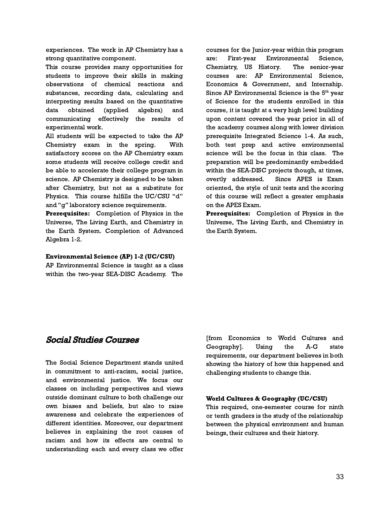experiences. The work in AP Chemistry has a strong quantitative component.

This course provides many opportunities for students to improve their skills in making observations of chemical reactions and substances, recording data, calculating and interpreting results based on the quantitative data obtained (applied algebra) and communicating effectively the results of experimental work.

All students will be expected to take the AP Chemistry exam in the spring. With satisfactory scores on the AP Chemistry exam some students will receive college credit and be able to accelerate their college program in science. AP Chemistry is designed to be taken after Chemistry, but not as a substitute for Physics. This course fulfills the UC/CSU "d" and "g" laboratory science requirements.

Prerequisites: Completion of Physics in the Universe, The Living Earth, and Chemistry in the Earth System. Completion of Advanced Algebra 1-2.

# Environmental Science (AP) 1-2 (UC/CSU)

AP Environmental Science is taught as a class within the two-year SEA-DISC Academy. The

courses for the Junior-year within this program are: First-year Environmental Science, Chemistry, US History. The senior-year courses are: AP Environmental Science, Economics & Government, and Internship. Since AP Environmental Science is the  $5<sup>th</sup>$  vear of Science for the students enrolled in this course, it is taught at a very high level building upon content covered the year prior in all of the academy courses along with lower division prerequisite Integrated Science 1-4. As such, both test prep and active environmental science will be the focus in this class. The preparation will be predominantly embedded within the SEA-DISC projects though, at times, overtly addressed. Since APES is Exam oriented, the style of unit tests and the scoring of this course will reflect a greater emphasis on the APES Exam.

Prerequisites: Completion of Physics in the Universe, The Living Earth, and Chemistry in the Earth System.

# Social Studies Courses

The Social Science Department stands united in commitment to anti-racism, social justice, and environmental justice. We focus our classes on including perspectives and views outside dominant culture to both challenge our own biases and beliefs, but also to raise awareness and celebrate the experiences of different identities. Moreover, our department believes in explaining the root causes of racism and how its effects are central to understanding each and every class we offer

[from Economics to World Cultures and Geography]. Using the A-G state requirements, our department believes in both showing the history of how this happened and challenging students to change this.

# World Cultures & Geography (UC/CSU)

This required, one-semester course for ninth or tenth graders is the study of the relationship between the physical environment and human beings, their cultures and their history.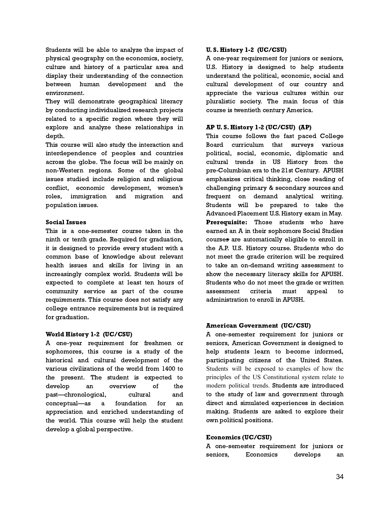Students will be able to analyze the impact of physical geography on the economics, society, culture and history of a particular area and display their understanding of the connection between human development and the environment.

They will demonstrate geographical literacy by conducting individualized research projects related to a specific region where they will explore and analyze these relationships in depth.

This course will also study the interaction and interdependence of peoples and countries across the globe. The focus will be mainly on non-Western regions. Some of the global issues studied include religion and religious conflict, economic development, women's roles, immigration and migration and population issues.

# Social Issues

This is a one-semester course taken in the ninth or tenth grade. Required for graduation, it is designed to provide every student with a common base of knowledge about relevant health issues and skills for living in an increasingly complex world. Students will be expected to complete at least ten hours of community service as part of the course requirements. This course does not satisfy any college entrance requirements but is required for graduation.

# World History 1-2 (UC/CSU)

A one-year requirement for freshmen or sophomores, this course is a study of the historical and cultural development of the various civilizations of the world from 1400 to the present. The student is expected to develop an overview of the past—chronological, cultural and conceptual—as a foundation for an appreciation and enriched understanding of the world. This course will help the student develop a global perspective.

# U. S. History 1-2 (UC/CSU)

A one-year requirement for juniors or seniors, U.S. History is designed to help students understand the political, economic, social and cultural development of our country and appreciate the various cultures within our pluralistic society. The main focus of this course is twentieth century America.

# AP U. S. History 1-2 (UC/CSU) (AP)

This course follows the fast paced College Board curriculum that surveys various political, social, economic, diplomatic and cultural trends in US History from the pre-Columbian era to the 21st Century. APUSH emphasizes critical thinking, close reading of challenging primary & secondary sources and frequent on demand analytical writing. Students will be prepared to take the Advanced Placement U.S. History exam in May. **Prerequisite:** Those students who have earned an A in their sophomore Social Studies courses are automatically eligible to enroll in the A.P. U.S. History course. Students who do not meet the grade criterion will be required to take an on-demand writing assessment to show the necessary literacy skills for APUSH. Students who do not meet the grade or written assessment criteria must appeal to administration to enroll in APUSH.

# American Government (UC/CSU)

A one-semester requirement for juniors or seniors, American Government is designed to help students learn to become informed, participating citizens of the United States. Students will be exposed to examples of how the principles of the US Constitutional system relate to modern political trends. Students are introduced to the study of law and government through direct and simulated experiences in decision making. Students are asked to explore their own political positions.

# Economics (UC/CSU)

A one-semester requirement for juniors or seniors, Economics develops an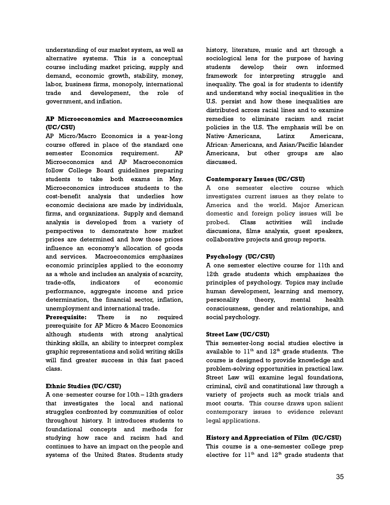understanding of our market system, as well as alternative systems. This is a conceptual course including market pricing, supply and demand, economic growth, stability, money, labor, business firms, monopoly, international trade and development, the role of government, and inflation.

# AP Microeconomics and Macroeconomics (UC/CSU)

AP Micro/Macro Economics is a year-long course offered in place of the standard one semester Economics requirement. AP Microeconomics and AP Macroeconomics follow College Board guidelines preparing students to take both exams in May. Microeconomics introduces students to the cost-benefit analysis that underlies how economic decisions are made by individuals, firms, and organizations. Supply and demand analysis is developed from a variety of perspectives to demonstrate how market prices are determined and how those prices influence an economy's allocation of goods and services. Macroeconomics emphasizes economic principles applied to the economy as a whole and includes an analysis of scarcity, trade-offs, indicators of economic performance, aggregate income and price determination, the financial sector, inflation, unemployment and international trade.

Prerequisite: There is no required prerequisite for AP Micro & Macro Economics although students with strong analytical thinking skills, an ability to interpret complex graphic representations and solid writing skills will find greater success in this fast paced class.

# Ethnic Studies (UC/CSU)

A one‐semester course for 10th – 12th graders that investigates the local and national struggles confronted by communities of color throughout history. It introduces students to foundational concepts and methods for studying how race and racism had and continues to have an impact on the people and systems of the United States. Students study

history, literature, music and art through a sociological lens for the purpose of having students develop their own informed framework for interpreting struggle and inequality. The goal is for students to identify and understand why social inequalities in the U.S. persist and how these inequalities are distributed across racial lines and to examine remedies to eliminate racism and racist policies in the U.S. The emphasis will be on Native‐Americans, Latinx Americans, African‐Americans, and Asian/Pacific Islander Americans, but other groups are also discussed.

# Contemporary Issues (UC/CSU)

A one semester elective course which investigates current issues as they relate to America and the world. Major American domestic and foreign policy issues will be probed. Class activities will include discussions, films analysis, guest speakers, collaborative projects and group reports.

# Psychology (UC/CSU)

A one semester elective course for 11th and 12th grade students which emphasizes the principles of psychology. Topics may include human development, learning and memory, personality theory, mental health consciousness, gender and relationships, and social psychology.

# Street Law (UC/CSU)

This semester-long social studies elective is available to  $11^{\rm th}$  and  $12^{\rm th}$  grade students. The course is designed to provide knowledge and problem-solving opportunities in practical law. Street Law will examine legal foundations, criminal, civil and constitutional law through a variety of projects such as mock trials and moot courts. This course draws upon salient contemporary issues to evidence relevant legal applications.

# History and Appreciation of Film (UC/CSU)

This course is a one-semester college prep elective for  $11^{\text{th}}$  and  $12^{\text{th}}$  grade students that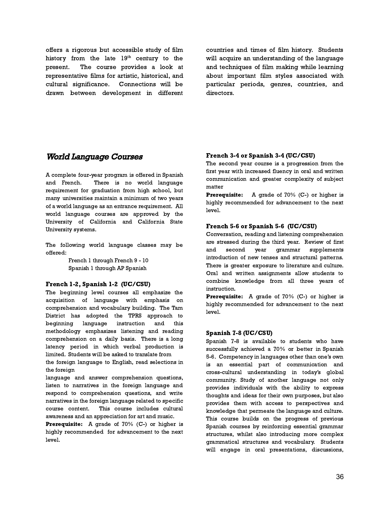offers a rigorous but accessible study of film history from the late  $19^{\text{th}}$  century to the present. The course provides a look at representative films for artistic, historical, and cultural significance. Connections will be drawn between development in different countries and times of film history. Students will acquire an understanding of the language and techniques of film making while learning about important film styles associated with particular periods, genres, countries, and directors.

# World Language Courses

A complete four-year program is offered in Spanish and French. There is no world language requirement for graduation from high school, but many universities maintain a minimum of two years of a world language as an entrance requirement. All world language courses are approved by the University of California and California State University systems.

The following world language classes may be offered:

> French 1 through French 9 - 10 Spanish 1 through AP Spanish

#### French 1-2, Spanish 1-2 (UC/CSU)

The beginning level courses all emphasize the acquisition of language with emphasis on comprehension and vocabulary building. The Tam District has adopted the TPRS approach to beginning language instruction and this methodology emphasizes listening and reading comprehension on a daily basis. There is a long latency period in which verbal production is limited. Students will be asked to translate from

the foreign language to English, read selections in the foreign

language and answer comprehension questions, listen to narratives in the foreign language and respond to comprehension questions, and write narratives in the foreign language related to specific course content. This course includes cultural awareness and an appreciation for art and music.

Prerequisite: A grade of 70% (C-) or higher is highly recommended for advancement to the next level.

# French 3-4 or Spanish 3-4 (UC/CSU)

The second year course is a progression from the first year with increased fluency in oral and written communication and greater complexity of subject matter

**Prerequisite:** A grade of 70% (C-) or higher is highly recommended for advancement to the next level.

# French 5-6 or Spanish 5-6 (UC/CSU)

Conversation, reading and listening comprehension are stressed during the third year. Review of first and second year grammar supplements introduction of new tenses and structural patterns. There is greater exposure to literature and culture. Oral and written assignments allow students to combine knowledge from all three years of instruction.

Prerequisite: A grade of 70% (C-) or higher is highly recommended for advancement to the next level.

#### Spanish 7-8 (UC/CSU)

Spanish 7-8 is available to students who have successfully achieved a 70% or better in Spanish 5-6. Competency in languages other than one's own is an essential part of communication and cross-cultural understanding in today's global community. Study of another language not only provides individuals with the ability to express thoughts and ideas for their own purposes, but also provides them with access to perspectives and knowledge that permeate the language and culture. This course builds on the progress of previous Spanish courses by reinforcing essential grammar structures, whilst also introducing more complex grammatical structures and vocabulary. Students will engage in oral presentations, discussions,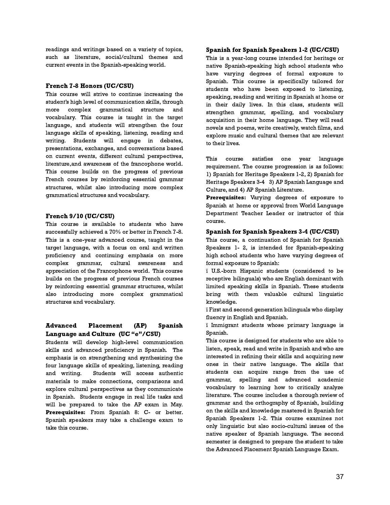readings and writings based on a variety of topics, such as literature, social/cultural themes and current events in the Spanish-speaking world.

#### French 7-8 Honors (UC/CSU)

This course will strive to continue increasing the student's high level of communication skills, through more complex grammatical structure and vocabulary. This course is taught in the target language, and students will strengthen the four language skills of speaking, listening, reading and writing. Students will engage in debates, presentations, exchanges, and conversations based on current events, different cultural perspectives, literature,and awareness of the francophone world. This course builds on the progress of previous French courses by reinforcing essential grammar structures, whilst also introducing more complex grammatical structures and vocabulary.

#### French 9/10 (UC/CSU)

This course is available to students who have successfully achieved a 70% or better in French 7-8. This is a one-year advanced course, taught in the target language, with a focus on oral and written proficiency and continuing emphasis on more complex grammar, cultural awareness and appreciation of the Francophone world. This course builds on the progress of previous French courses by reinforcing essential grammar structures, whilst also introducing more complex grammatical structures and vocabulary.

# Advanced Placement (AP) Spanish Language and Culture (UC "e"/CSU)

Students will develop high-level communication skills and advanced proficiency in Spanish. The emphasis is on strengthening and synthesizing the four language skills of speaking, listening, reading and writing. Students will access authentic materials to make connections, comparisons and explore cultural perspectives as they communicate in Spanish. Students engage in real life tasks and will be prepared to take the AP exam in May. Prerequisites: From Spanish 8: C- or better. Spanish speakers may take a challenge exam to take this course.

#### Spanish for Spanish Speakers 1-2 (UC/CSU)

This is a year-long course intended for heritage or native Spanish-speaking high school students who have varying degrees of formal exposure to Spanish. This course is specifically tailored for students who have been exposed to listening, speaking, reading and writing in Spanish at home or in their daily lives. In this class, students will strengthen grammar, spelling, and vocabulary acquisition in their home language. They will read novels and poems, write creatively, watch films, and explore music and cultural themes that are relevant to their lives.

This course satisfies one year language requirement. The course progression is as follows: 1) Spanish for Heritage Speakers 1-2, 2) Spanish for Heritage Speakers 3-4 3) AP Spanish Language and Culture, and 4) AP Spanish Literature.

Prerequisites: Varying degrees of exposure to Spanish at home or approval from World Language Department Teacher Leader or instructor of this course.

# Spanish for Spanish Speakers 3-4 (UC/CSU)

This course, a continuation of Spanish for Spanish Speakers 1- 2, is intended for Spanish-speaking high school students who have varying degrees of formal exposure to Spanish:

ï U.S.-born Hispanic students (considered to be receptive bilinguals) who are English dominant with limited speaking skills in Spanish. These students bring with them valuable cultural linguistic knowledge.

ï First and second generation bilinguals who display fluency in English and Spanish.

ï Immigrant students whose primary language is Spanish.

This course is designed for students who are able to listen, speak, read and write in Spanish and who are interested in refining their skills and acquiring new ones in their native language. The skills that students can acquire range from the use of grammar, spelling and advanced academic vocabulary to learning how to critically analyze literature. The course includes a thorough review of grammar and the orthography of Spanish, building on the skills and knowledge mastered in Spanish for Spanish Speakers 1-2. This course examines not only linguistic but also socio-cultural issues of the native speaker of Spanish language. The second semester is designed to prepare the student to take the Advanced Placement Spanish Language Exam.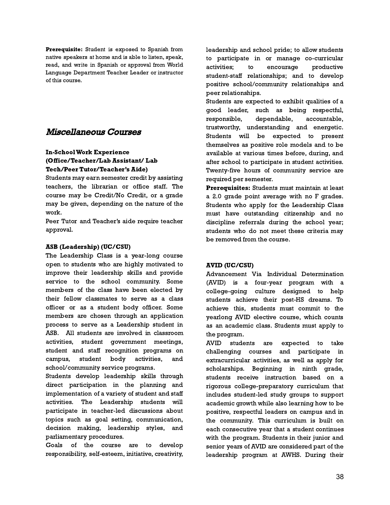Prerequisite: Student is exposed to Spanish from native speakers at home and is able to listen, speak, read, and write in Spanish or approval from World Language Department Teacher Leader or instructor of this course.

# Miscellaneous Courses

# In-SchoolWork Experience (Office/Teacher/Lab Assistant/ Lab Tech/Peer Tutor/Teacher's Aide)

Students may earn semester credit by assisting teachers, the librarian or office staff. The course may be Credit/No Credit, or a grade may be given, depending on the nature of the work.

Peer Tutor and Teacher's aide require teacher approval.

# ASB (Leadership) (UC/CSU)

The Leadership Class is a year-long course open to students who are highly motivated to improve their leadership skills and provide service to the school community. Some members of the class have been elected by their fellow classmates to serve as a class officer or as a student body officer. Some members are chosen through an application process to serve as a Leadership student in ASB. All students are involved in classroom activities, student government meetings, student and staff recognition programs on campus, student body activities, and school/community service programs.

Students develop leadership skills through direct participation in the planning and implementation of a variety of student and staff activities. The Leadership students will participate in teacher-led discussions about topics such as goal setting, communication, decision making, leadership styles, and parliamentary procedures.

Goals of the course are to develop responsibility, self-esteem, initiative, creativity, leadership and school pride; to allow students to participate in or manage co-curricular activities; to encourage productive student-staff relationships; and to develop positive school/community relationships and peer relationships.

Students are expected to exhibit qualities of a good leader, such as being respectful, responsible, dependable, accountable, trustworthy, understanding and energetic. Students will be expected to present themselves as positive role models and to be available at various times before, during, and after school to participate in student activities. Twenty-five hours of community service are required per semester.

Prerequisites: Students must maintain at least a 2.0 grade point average with no F grades. Students who apply for the Leadership Class must have outstanding citizenship and no discipline referrals during the school year; students who do not meet these criteria may be removed from the course.

# AVID (UC/CSU)

Advancement Via Individual Determination (AVID) is a four-year program with a college-going culture designed to help students achieve their post-HS dreams. To achieve this, students must commit to the yearlong AVID elective course, which counts as an academic class. Students must apply to the program.

AVID students are expected to take challenging courses and participate in extracurricular activities, as well as apply for scholarships. Beginning in ninth grade, students receive instruction based on a rigorous college-preparatory curriculum that includes student-led study groups to support academic growth while also learning how to be positive, respectful leaders on campus and in the community. This curriculum is built on each consecutive year that a student continues with the program. Students in their junior and senior years of AVID are considered part of the leadership program at AWHS. During their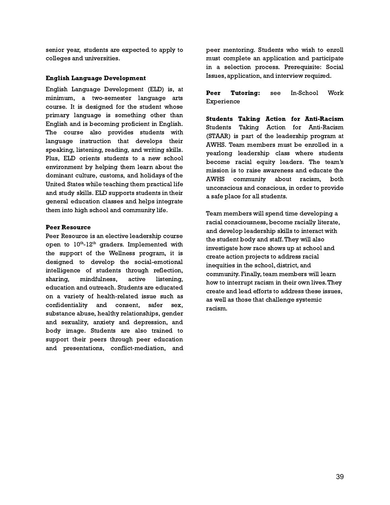senior year, students are expected to apply to colleges and universities.

#### English Language Development

English Language Development (ELD) is, at minimum, a two-semester language arts course. It is designed for the student whose primary language is something other than English and is becoming proficient in English. The course also provides students with language instruction that develops their speaking, listening, reading, and writing skills. Plus, ELD orients students to a new school environment by helping them learn about the dominant culture, customs, and holidays of the United States while teaching them practical life and study skills. ELD supports students in their general education classes and helps integrate them into high school and community life.

#### Peer Resource

Peer Resource is an elective leadership course open to  $10^{\text{th}}$ - $12^{\text{th}}$  graders. Implemented with the support of the Wellness program, it is designed to develop the social-emotional intelligence of students through reflection, sharing, mindfulness, active listening, education and outreach. Students are educated on a variety of health-related issue such as confidentiality and consent, safer sex, substance abuse, healthy relationships, gender and sexuality, anxiety and depression, and body image. Students are also trained to support their peers through peer education and presentations, conflict-mediation, and peer mentoring. Students who wish to enroll must complete an application and participate in a selection process. Prerequisite: Social Issues, application, and interview required.

Peer Tutoring: see In-School Work Experience

Students Taking Action for Anti-Racism Students Taking Action for Anti-Racism (STAAR) is part of the leadership program at AWHS. Team members must be enrolled in a yearlong leadership class where students become racial equity leaders. The team's mission is to raise awareness and educate the AWHS community about racism, both unconscious and conscious, in order to provide a safe place for all students.

Team members will spend time developing a racial consciousness, become racially literate, and develop leadership skills to interact with the student body and staff.They will also investigate how race shows up at school and create action projects to address racial inequities in the school, district, and community. Finally, team members will learn how to interrupt racism in their own lives.They create and lead efforts to address these issues, as well as those that challenge systemic racism.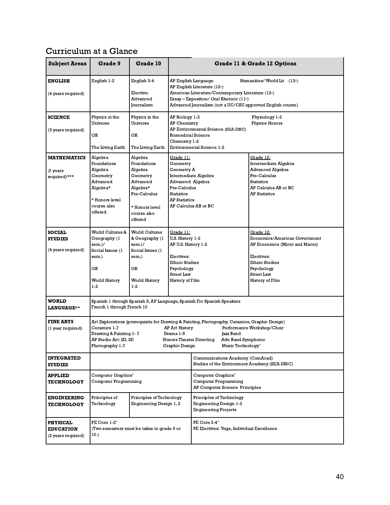# Curriculum at a Glance

| <b>Subject Areas</b>                                      | Grade 9                                                                                                                                                                                                                                                                                                                                                                           | Grade 10                                                                                                                          |                                                                                                                                                                                                                                                                                       |                                                                                          | Grade 11 & Grade 12 Options                                                                                                                                               |
|-----------------------------------------------------------|-----------------------------------------------------------------------------------------------------------------------------------------------------------------------------------------------------------------------------------------------------------------------------------------------------------------------------------------------------------------------------------|-----------------------------------------------------------------------------------------------------------------------------------|---------------------------------------------------------------------------------------------------------------------------------------------------------------------------------------------------------------------------------------------------------------------------------------|------------------------------------------------------------------------------------------|---------------------------------------------------------------------------------------------------------------------------------------------------------------------------|
| <b>ENGLISH</b><br>(4 years required)                      | English 1-2                                                                                                                                                                                                                                                                                                                                                                       | English 3-4<br>Elective:<br>Advanced<br>Journalism                                                                                | AP English Language<br>Humanities/World Lit $(12^{\omega})$<br>AP English Literature (12 <sup>th</sup> )<br>American Literature/Contemporary Literature (12 <sup>a</sup> )<br>Essay – Exposition/ Oral Rhetoric $(11*)$<br>Advanced Journalism (not a UC/CSU approved English course) |                                                                                          |                                                                                                                                                                           |
| <b>SCIENCE</b><br>(3 years required)                      | Physics in the<br>Universe<br>OR<br>The Living Earth                                                                                                                                                                                                                                                                                                                              | Physics in the<br>Universe<br>OR<br>The Living Earth                                                                              | AP Biology 1-2<br><b>AP Chemistry</b><br><b>Biomedical Science</b><br>Chemistry 1-2                                                                                                                                                                                                   | AP Environmental Science (SEA-DISC)<br><b>Environmental Science 1-2</b>                  | Physiology 1-2<br>Physics Honors                                                                                                                                          |
| <b>MATHEMATICS</b><br>(3 years<br>required)***            | Algebra<br>Foundations<br>Algebra<br>Geometry<br>Advanced<br>Algebra*<br>* Honors level<br>course also<br>offered                                                                                                                                                                                                                                                                 | Algebra<br>Foundations<br>Algebra<br>Geometry<br>Advanced<br>Algebra*<br>Pre-Calculus<br>* Honors level<br>course also<br>offered | <u> Grade 11:</u><br>Geometry<br>Geometry A<br>Intermediate Algebra<br>Advanced Algebra<br>Pre-Calculus<br><b>Statistics</b><br><b>AP Statistics</b><br>AP Calculus AB or BC                                                                                                          |                                                                                          | Grade 12:<br>Intermediate Algebra<br><b>Advanced Algebra</b><br>Pre-Calculus<br><b>Statistics</b><br>AP Calculus AB or BC<br><b>AP Statistics</b>                         |
| <b>SOCIAL</b><br><b>STUDIES</b><br>(4 years required)     | World Cultures &<br>Geography (1<br>sem.)/<br>Social Issues (1<br>sem.)<br>OR<br>World History<br>$1-2$                                                                                                                                                                                                                                                                           | World Cultures<br>& Geography (1<br>sem.)/<br>Social Issues (1<br>sem.)<br>OR<br>World History<br>$1-2$                           | <u> Grade 11:</u><br>U.S. History 1-2<br>AP U.S. History 1-2<br>Electives:<br><b>Ethnic Studies</b><br>Psychology<br><b>Street Law</b><br>History of Film                                                                                                                             |                                                                                          | Grade 12:<br>Economics/American Government<br>AP Economics (Micro and Macro)<br>Electives:<br><b>Ethnic Studies</b><br>Psychology<br><b>Street Law</b><br>History of Film |
| <b>WORLD</b><br><b>LANGUAGE**</b>                         | French 1 through French 10                                                                                                                                                                                                                                                                                                                                                        |                                                                                                                                   |                                                                                                                                                                                                                                                                                       | Spanish 1 through Spanish 8, AP Language, Spanish For Spanish Speakers                   |                                                                                                                                                                           |
| <b>FINE ARTS</b><br>(1 year required)                     | Art Explorations (prerequisite for Drawing & Painting, Photography, Ceramics, Graphic Design)<br>Ceramics 1-7<br><b>AP Art History</b><br>Performance Workshop/Choir<br>Drawing & Painting 1-7<br>Drama 1-8<br>Jazz Band<br>AP Studio Art: 2D, 3D<br><b>Honors Theater Directing</b><br>Adv. Band Symphonic<br>Photography 1-7<br>Graphic Design<br>Music Technology <sup>+</sup> |                                                                                                                                   |                                                                                                                                                                                                                                                                                       |                                                                                          |                                                                                                                                                                           |
| <b>INTEGRATED</b><br><b>STUDIES</b>                       |                                                                                                                                                                                                                                                                                                                                                                                   |                                                                                                                                   |                                                                                                                                                                                                                                                                                       | Communications Academy (ComAcad)<br>Studies of the Environment Academy (SEA-DISC)        |                                                                                                                                                                           |
| <b>APPLIED</b><br><b>TECHNOLOGY</b>                       | Computer Graphics <sup>+</sup><br>Computer Programming                                                                                                                                                                                                                                                                                                                            |                                                                                                                                   | Computer Graphics <sup>+</sup><br>Computer Programming<br>AP Computer Science Principles                                                                                                                                                                                              |                                                                                          |                                                                                                                                                                           |
| <b>ENGINEERING</b><br><b>TECHNOLOGY</b>                   | Principles of<br>Technology                                                                                                                                                                                                                                                                                                                                                       | Principles of Technology<br>Engineering Design 1, 2                                                                               |                                                                                                                                                                                                                                                                                       | Principles of Technology<br><b>Engineering Design 1-2</b><br><b>Engineering Projects</b> |                                                                                                                                                                           |
| <b>PHYSICAL</b><br><b>EDUCATION</b><br>(2 years required) | PE Core 1-2 <sup>+</sup><br>10.                                                                                                                                                                                                                                                                                                                                                   | (Two semesters must be taken in grade 9 or                                                                                        |                                                                                                                                                                                                                                                                                       | PE Core 3-4 <sup>+</sup><br>PE Electives: Yoga, Individual Excellence                    |                                                                                                                                                                           |